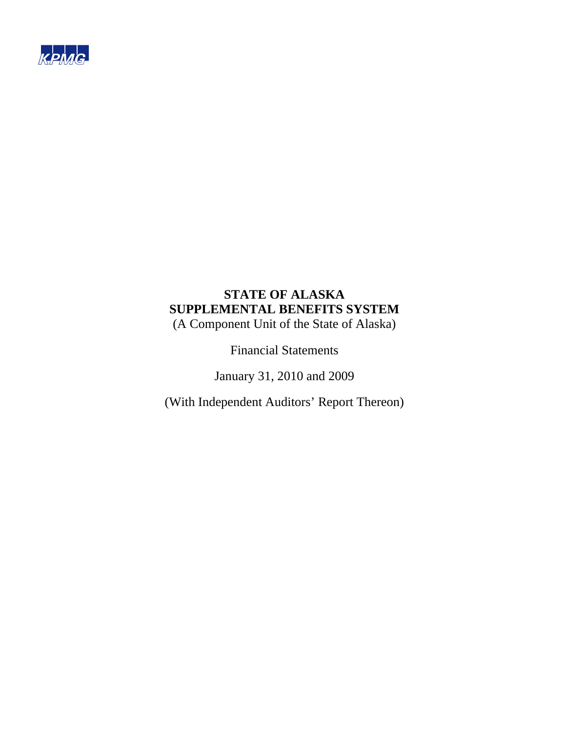

# **STATE OF ALASKA SUPPLEMENTAL BENEFITS SYSTEM**

(A Component Unit of the State of Alaska)

Financial Statements

January 31, 2010 and 2009

(With Independent Auditors' Report Thereon)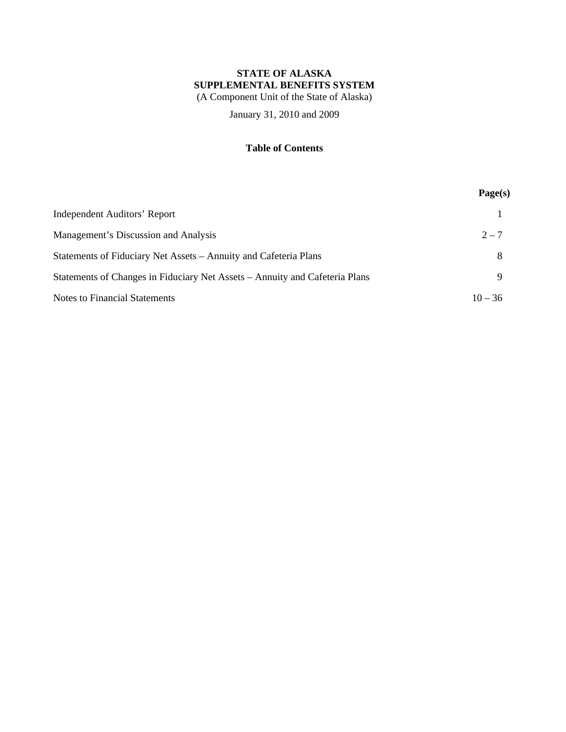# **STATE OF ALASKA SUPPLEMENTAL BENEFITS SYSTEM**

(A Component Unit of the State of Alaska)

January 31, 2010 and 2009

# **Table of Contents**

|                                                                             | Page(s)   |
|-----------------------------------------------------------------------------|-----------|
| <b>Independent Auditors' Report</b>                                         |           |
| Management's Discussion and Analysis                                        | $2 - 7$   |
| Statements of Fiduciary Net Assets – Annuity and Cafeteria Plans            | 8         |
| Statements of Changes in Fiduciary Net Assets – Annuity and Cafeteria Plans | 9         |
| <b>Notes to Financial Statements</b>                                        | $10 - 36$ |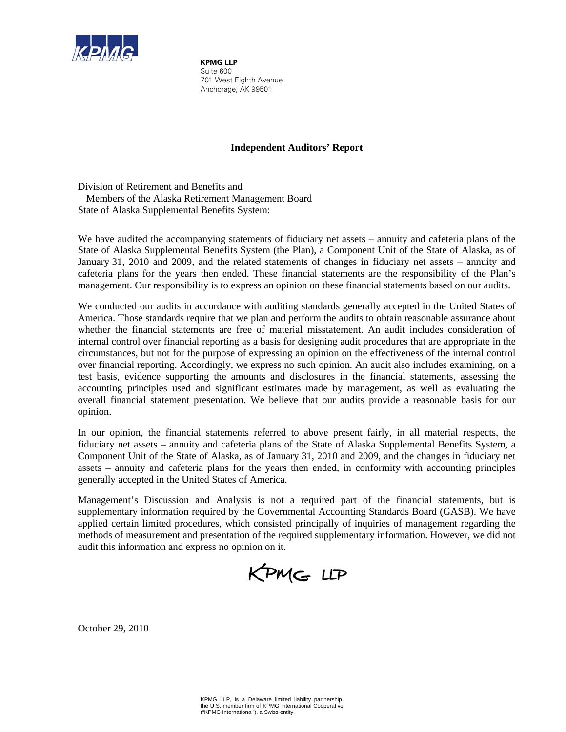

**KPMG LLP** Suite 600 701 West Eighth Avenue Anchorage, AK 99501

# **Independent Auditors' Report**

Division of Retirement and Benefits and Members of the Alaska Retirement Management Board State of Alaska Supplemental Benefits System:

We have audited the accompanying statements of fiduciary net assets – annuity and cafeteria plans of the State of Alaska Supplemental Benefits System (the Plan), a Component Unit of the State of Alaska, as of January 31, 2010 and 2009, and the related statements of changes in fiduciary net assets – annuity and cafeteria plans for the years then ended. These financial statements are the responsibility of the Plan's management. Our responsibility is to express an opinion on these financial statements based on our audits.

We conducted our audits in accordance with auditing standards generally accepted in the United States of America. Those standards require that we plan and perform the audits to obtain reasonable assurance about whether the financial statements are free of material misstatement. An audit includes consideration of internal control over financial reporting as a basis for designing audit procedures that are appropriate in the circumstances, but not for the purpose of expressing an opinion on the effectiveness of the internal control over financial reporting. Accordingly, we express no such opinion. An audit also includes examining, on a test basis, evidence supporting the amounts and disclosures in the financial statements, assessing the accounting principles used and significant estimates made by management, as well as evaluating the overall financial statement presentation. We believe that our audits provide a reasonable basis for our opinion.

In our opinion, the financial statements referred to above present fairly, in all material respects, the fiduciary net assets – annuity and cafeteria plans of the State of Alaska Supplemental Benefits System, a Component Unit of the State of Alaska, as of January 31, 2010 and 2009, and the changes in fiduciary net assets – annuity and cafeteria plans for the years then ended, in conformity with accounting principles generally accepted in the United States of America.

Management's Discussion and Analysis is not a required part of the financial statements, but is supplementary information required by the Governmental Accounting Standards Board (GASB). We have applied certain limited procedures, which consisted principally of inquiries of management regarding the methods of measurement and presentation of the required supplementary information. However, we did not audit this information and express no opinion on it.

KPMG LLP

October 29, 2010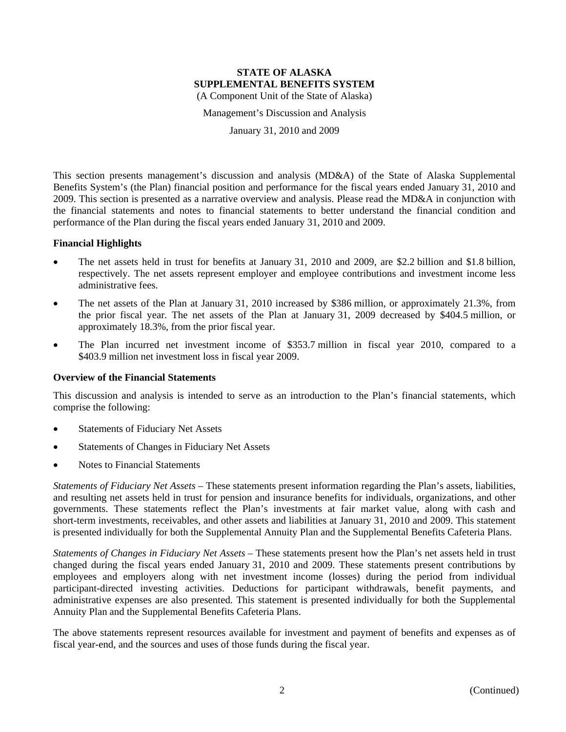Management's Discussion and Analysis

January 31, 2010 and 2009

This section presents management's discussion and analysis (MD&A) of the State of Alaska Supplemental Benefits System's (the Plan) financial position and performance for the fiscal years ended January 31, 2010 and 2009. This section is presented as a narrative overview and analysis. Please read the MD&A in conjunction with the financial statements and notes to financial statements to better understand the financial condition and performance of the Plan during the fiscal years ended January 31, 2010 and 2009.

#### **Financial Highlights**

- The net assets held in trust for benefits at January 31, 2010 and 2009, are \$2.2 billion and \$1.8 billion, respectively. The net assets represent employer and employee contributions and investment income less administrative fees.
- The net assets of the Plan at January 31, 2010 increased by \$386 million, or approximately 21.3%, from the prior fiscal year. The net assets of the Plan at January 31, 2009 decreased by \$404.5 million, or approximately 18.3%, from the prior fiscal year.
- The Plan incurred net investment income of \$353.7 million in fiscal year 2010, compared to a \$403.9 million net investment loss in fiscal year 2009.

#### **Overview of the Financial Statements**

This discussion and analysis is intended to serve as an introduction to the Plan's financial statements, which comprise the following:

- Statements of Fiduciary Net Assets
- Statements of Changes in Fiduciary Net Assets
- Notes to Financial Statements

*Statements of Fiduciary Net Assets* – These statements present information regarding the Plan's assets, liabilities, and resulting net assets held in trust for pension and insurance benefits for individuals, organizations, and other governments. These statements reflect the Plan's investments at fair market value, along with cash and short-term investments, receivables, and other assets and liabilities at January 31, 2010 and 2009. This statement is presented individually for both the Supplemental Annuity Plan and the Supplemental Benefits Cafeteria Plans.

*Statements of Changes in Fiduciary Net Assets* – These statements present how the Plan's net assets held in trust changed during the fiscal years ended January 31, 2010 and 2009. These statements present contributions by employees and employers along with net investment income (losses) during the period from individual participant-directed investing activities. Deductions for participant withdrawals, benefit payments, and administrative expenses are also presented. This statement is presented individually for both the Supplemental Annuity Plan and the Supplemental Benefits Cafeteria Plans.

The above statements represent resources available for investment and payment of benefits and expenses as of fiscal year-end, and the sources and uses of those funds during the fiscal year.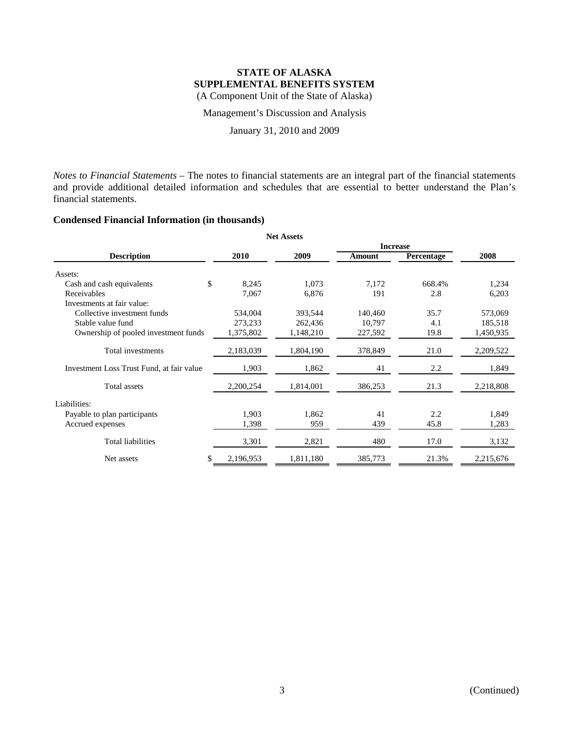Management's Discussion and Analysis

January 31, 2010 and 2009

*Notes to Financial Statements* – The notes to financial statements are an integral part of the financial statements and provide additional detailed information and schedules that are essential to better understand the Plan's financial statements.

# **Condensed Financial Information (in thousands)**

| <b>Net Assets</b>                         |             |           |                 |                   |           |  |  |  |
|-------------------------------------------|-------------|-----------|-----------------|-------------------|-----------|--|--|--|
|                                           |             |           | <b>Increase</b> |                   |           |  |  |  |
| <b>Description</b>                        | <b>2010</b> | 2009      | Amount          | <b>Percentage</b> | 2008      |  |  |  |
| Assets:                                   |             |           |                 |                   |           |  |  |  |
| Cash and cash equivalents                 | \$<br>8,245 | 1,073     | 7,172           | 668.4%            | 1,234     |  |  |  |
| Receivables                               | 7,067       | 6,876     | 191             | 2.8               | 6,203     |  |  |  |
| Investments at fair value:                |             |           |                 |                   |           |  |  |  |
| Collective investment funds               | 534,004     | 393,544   | 140,460         | 35.7              | 573,069   |  |  |  |
| Stable value fund                         | 273,233     | 262,436   | 10,797          | 4.1               | 185,518   |  |  |  |
| Ownership of pooled investment funds      | 1,375,802   | 1,148,210 | 227,592         | 19.8              | 1,450,935 |  |  |  |
| Total investments                         | 2,183,039   | 1,804,190 | 378,849         | 21.0              | 2,209,522 |  |  |  |
| Investment Loss Trust Fund, at fair value | 1,903       | 1,862     | 41              | 2.2               | 1,849     |  |  |  |
| Total assets                              | 2,200,254   | 1,814,001 | 386,253         | 21.3              | 2,218,808 |  |  |  |
| Liabilities:                              |             |           |                 |                   |           |  |  |  |
| Payable to plan participants              | 1,903       | 1,862     | 41              | 2.2               | 1,849     |  |  |  |
| Accrued expenses                          | 1,398       | 959       | 439             | 45.8              | 1,283     |  |  |  |
| <b>Total liabilities</b>                  | 3,301       | 2,821     | 480             | 17.0              | 3,132     |  |  |  |
| Net assets                                | 2,196,953   | 1,811,180 | 385,773         | 21.3%             | 2,215,676 |  |  |  |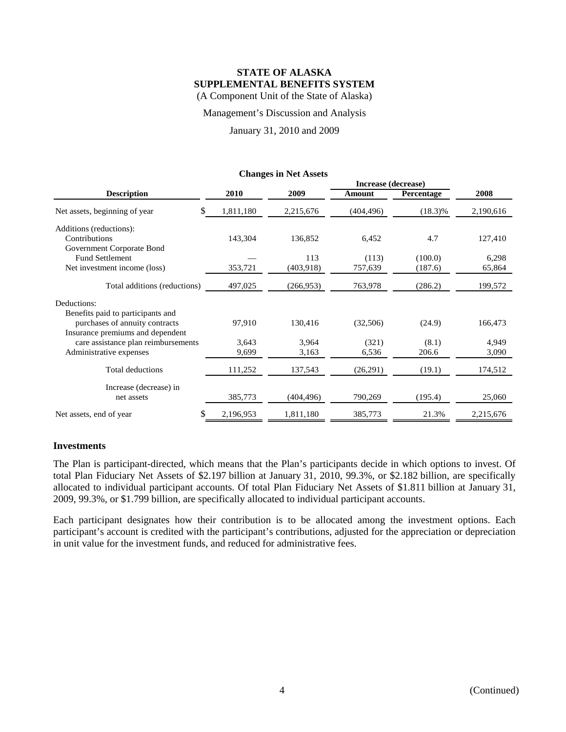Management's Discussion and Analysis

January 31, 2010 and 2009

|                                     |             |            | Increase (decrease) |            |           |
|-------------------------------------|-------------|------------|---------------------|------------|-----------|
| <b>Description</b>                  | <b>2010</b> | 2009       | Amount              | Percentage | 2008      |
| \$<br>Net assets, beginning of year | 1,811,180   | 2,215,676  | (404, 496)          | $(18.3)\%$ | 2,190,616 |
| Additions (reductions):             |             |            |                     |            |           |
| Contributions                       | 143,304     | 136,852    | 6,452               | 4.7        | 127,410   |
| Government Corporate Bond           |             |            |                     |            |           |
| <b>Fund Settlement</b>              |             | 113        | (113)               | (100.0)    | 6,298     |
| Net investment income (loss)        | 353,721     | (403,918)  | 757,639             | (187.6)    | 65,864    |
| Total additions (reductions)        | 497,025     | (266, 953) | 763,978             | (286.2)    | 199,572   |
| Deductions:                         |             |            |                     |            |           |
| Benefits paid to participants and   |             |            |                     |            |           |
| purchases of annuity contracts      | 97,910      | 130,416    | (32,506)            | (24.9)     | 166,473   |
| Insurance premiums and dependent    |             |            |                     |            |           |
| care assistance plan reimbursements | 3,643       | 3,964      | (321)               | (8.1)      | 4,949     |
| Administrative expenses             | 9,699       | 3,163      | 6,536               | 206.6      | 3,090     |
| Total deductions                    | 111,252     | 137,543    | (26,291)            | (19.1)     | 174,512   |
| Increase (decrease) in              |             |            |                     |            |           |
| net assets                          | 385,773     | (404, 496) | 790,269             | (195.4)    | 25,060    |
| Net assets, end of year             | 2,196,953   | 1,811,180  | 385,773             | 21.3%      | 2,215,676 |

#### **Changes in Net Assets**

#### **Investments**

The Plan is participant-directed, which means that the Plan's participants decide in which options to invest. Of total Plan Fiduciary Net Assets of \$2.197 billion at January 31, 2010, 99.3%, or \$2.182 billion, are specifically allocated to individual participant accounts. Of total Plan Fiduciary Net Assets of \$1.811 billion at January 31, 2009, 99.3%, or \$1.799 billion, are specifically allocated to individual participant accounts.

Each participant designates how their contribution is to be allocated among the investment options. Each participant's account is credited with the participant's contributions, adjusted for the appreciation or depreciation in unit value for the investment funds, and reduced for administrative fees.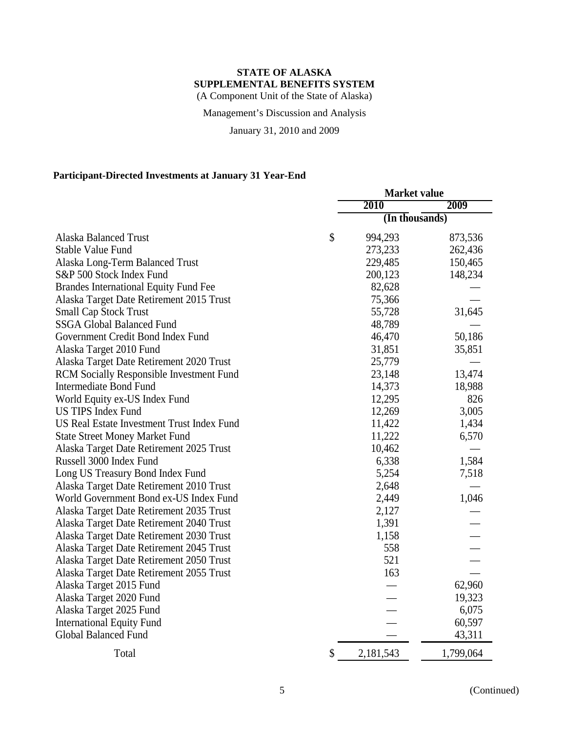Management's Discussion and Analysis

January 31, 2010 and 2009

# **Participant-Directed Investments at January 31 Year-End**

|                                                 | <b>Market value</b> |           |  |  |
|-------------------------------------------------|---------------------|-----------|--|--|
|                                                 | 2010                | 2009      |  |  |
|                                                 | (In thousands)      |           |  |  |
| <b>Alaska Balanced Trust</b>                    | \$<br>994,293       | 873,536   |  |  |
| <b>Stable Value Fund</b>                        | 273,233             | 262,436   |  |  |
| Alaska Long-Term Balanced Trust                 | 229,485             | 150,465   |  |  |
| S&P 500 Stock Index Fund                        | 200,123             | 148,234   |  |  |
| <b>Brandes International Equity Fund Fee</b>    | 82,628              |           |  |  |
| Alaska Target Date Retirement 2015 Trust        | 75,366              |           |  |  |
| <b>Small Cap Stock Trust</b>                    | 55,728              | 31,645    |  |  |
| <b>SSGA Global Balanced Fund</b>                | 48,789              |           |  |  |
| Government Credit Bond Index Fund               | 46,470              | 50,186    |  |  |
| Alaska Target 2010 Fund                         | 31,851              | 35,851    |  |  |
| Alaska Target Date Retirement 2020 Trust        | 25,779              |           |  |  |
| <b>RCM Socially Responsible Investment Fund</b> | 23,148              | 13,474    |  |  |
| <b>Intermediate Bond Fund</b>                   | 14,373              | 18,988    |  |  |
| World Equity ex-US Index Fund                   | 12,295              | 826       |  |  |
| <b>US TIPS Index Fund</b>                       | 12,269              | 3,005     |  |  |
| US Real Estate Investment Trust Index Fund      | 11,422              | 1,434     |  |  |
| <b>State Street Money Market Fund</b>           | 11,222              | 6,570     |  |  |
| Alaska Target Date Retirement 2025 Trust        | 10,462              |           |  |  |
| Russell 3000 Index Fund                         | 6,338               | 1,584     |  |  |
| Long US Treasury Bond Index Fund                | 5,254               | 7,518     |  |  |
| Alaska Target Date Retirement 2010 Trust        | 2,648               |           |  |  |
| World Government Bond ex-US Index Fund          | 2,449               | 1,046     |  |  |
| Alaska Target Date Retirement 2035 Trust        | 2,127               |           |  |  |
| Alaska Target Date Retirement 2040 Trust        | 1,391               |           |  |  |
| Alaska Target Date Retirement 2030 Trust        | 1,158               |           |  |  |
| Alaska Target Date Retirement 2045 Trust        | 558                 |           |  |  |
| Alaska Target Date Retirement 2050 Trust        | 521                 |           |  |  |
| Alaska Target Date Retirement 2055 Trust        | 163                 |           |  |  |
| Alaska Target 2015 Fund                         |                     | 62,960    |  |  |
| Alaska Target 2020 Fund                         |                     | 19,323    |  |  |
| Alaska Target 2025 Fund                         |                     | 6,075     |  |  |
| <b>International Equity Fund</b>                |                     | 60,597    |  |  |
| <b>Global Balanced Fund</b>                     |                     | 43,311    |  |  |
| Total                                           | \$<br>2,181,543     | 1,799,064 |  |  |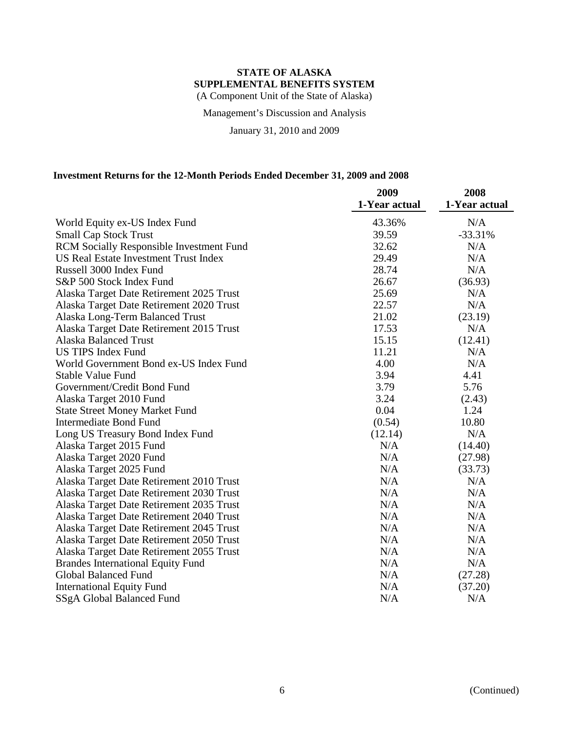Management's Discussion and Analysis

January 31, 2010 and 2009

# **Investment Returns for the 12-Month Periods Ended December 31, 2009 and 2008**

|                                                 | 2009          | 2008          |
|-------------------------------------------------|---------------|---------------|
|                                                 | 1-Year actual | 1-Year actual |
| World Equity ex-US Index Fund                   | 43.36%        | N/A           |
| <b>Small Cap Stock Trust</b>                    | 39.59         | $-33.31%$     |
| <b>RCM Socially Responsible Investment Fund</b> | 32.62         | N/A           |
| <b>US Real Estate Investment Trust Index</b>    | 29.49         | N/A           |
| Russell 3000 Index Fund                         | 28.74         | N/A           |
| S&P 500 Stock Index Fund                        | 26.67         | (36.93)       |
| Alaska Target Date Retirement 2025 Trust        | 25.69         | N/A           |
| Alaska Target Date Retirement 2020 Trust        | 22.57         | N/A           |
| Alaska Long-Term Balanced Trust                 | 21.02         | (23.19)       |
| Alaska Target Date Retirement 2015 Trust        | 17.53         | N/A           |
| <b>Alaska Balanced Trust</b>                    | 15.15         | (12.41)       |
| <b>US TIPS Index Fund</b>                       | 11.21         | N/A           |
| World Government Bond ex-US Index Fund          | 4.00          | N/A           |
| <b>Stable Value Fund</b>                        | 3.94          | 4.41          |
| Government/Credit Bond Fund                     | 3.79          | 5.76          |
| Alaska Target 2010 Fund                         | 3.24          | (2.43)        |
| <b>State Street Money Market Fund</b>           | 0.04          | 1.24          |
| <b>Intermediate Bond Fund</b>                   | (0.54)        | 10.80         |
| Long US Treasury Bond Index Fund                | (12.14)       | N/A           |
| Alaska Target 2015 Fund                         | N/A           | (14.40)       |
| Alaska Target 2020 Fund                         | N/A           | (27.98)       |
| Alaska Target 2025 Fund                         | N/A           | (33.73)       |
| Alaska Target Date Retirement 2010 Trust        | N/A           | N/A           |
| Alaska Target Date Retirement 2030 Trust        | N/A           | N/A           |
| Alaska Target Date Retirement 2035 Trust        | N/A           | N/A           |
| Alaska Target Date Retirement 2040 Trust        | N/A           | N/A           |
| Alaska Target Date Retirement 2045 Trust        | N/A           | N/A           |
| Alaska Target Date Retirement 2050 Trust        | N/A           | N/A           |
| Alaska Target Date Retirement 2055 Trust        | N/A           | N/A           |
| <b>Brandes International Equity Fund</b>        | N/A           | N/A           |
| <b>Global Balanced Fund</b>                     | N/A           | (27.28)       |
| <b>International Equity Fund</b>                | N/A           | (37.20)       |
| SSgA Global Balanced Fund                       | N/A           | N/A           |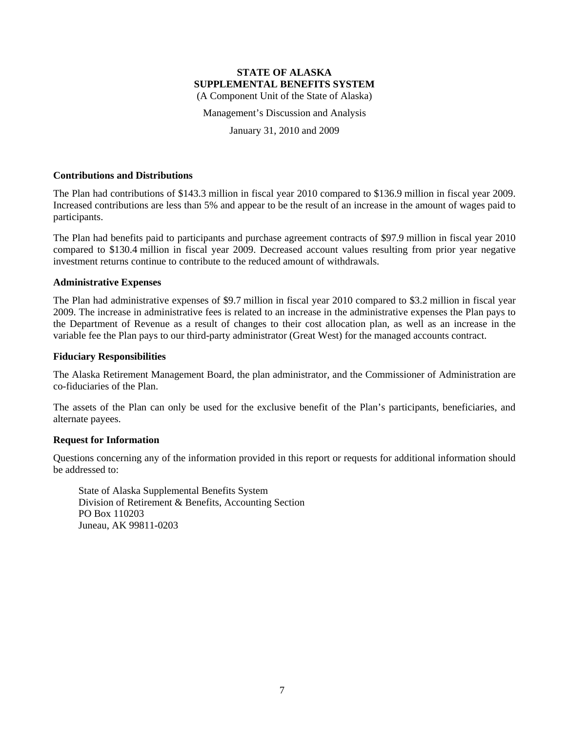Management's Discussion and Analysis

January 31, 2010 and 2009

#### **Contributions and Distributions**

The Plan had contributions of \$143.3 million in fiscal year 2010 compared to \$136.9 million in fiscal year 2009. Increased contributions are less than 5% and appear to be the result of an increase in the amount of wages paid to participants.

The Plan had benefits paid to participants and purchase agreement contracts of \$97.9 million in fiscal year 2010 compared to \$130.4 million in fiscal year 2009. Decreased account values resulting from prior year negative investment returns continue to contribute to the reduced amount of withdrawals.

#### **Administrative Expenses**

The Plan had administrative expenses of \$9.7 million in fiscal year 2010 compared to \$3.2 million in fiscal year 2009. The increase in administrative fees is related to an increase in the administrative expenses the Plan pays to the Department of Revenue as a result of changes to their cost allocation plan, as well as an increase in the variable fee the Plan pays to our third-party administrator (Great West) for the managed accounts contract.

#### **Fiduciary Responsibilities**

The Alaska Retirement Management Board, the plan administrator, and the Commissioner of Administration are co-fiduciaries of the Plan.

The assets of the Plan can only be used for the exclusive benefit of the Plan's participants, beneficiaries, and alternate payees.

# **Request for Information**

Questions concerning any of the information provided in this report or requests for additional information should be addressed to:

State of Alaska Supplemental Benefits System Division of Retirement & Benefits, Accounting Section PO Box 110203 Juneau, AK 99811-0203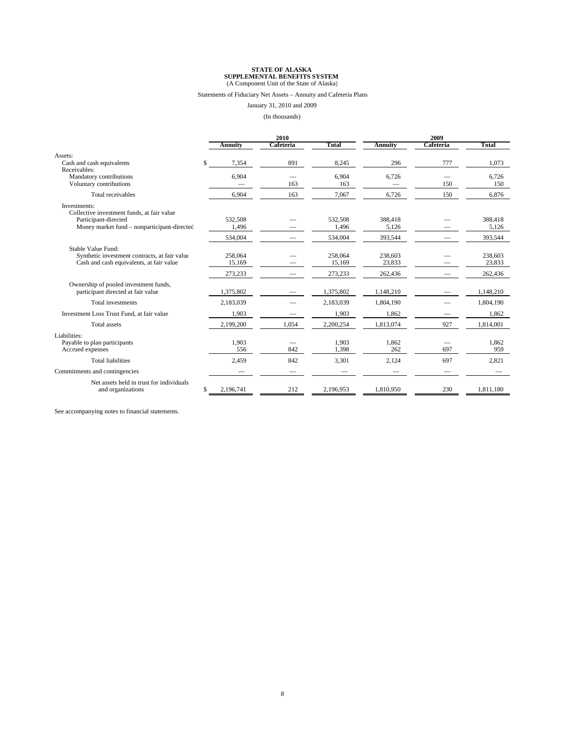#### Statements of Fiduciary Net Assets – Annuity and Cafeteria Plans

January 31, 2010 and 2009

(In thousands)

|                                                                                                                                   |                   | 2010      |                   |                   | 2009      |                   |  |  |
|-----------------------------------------------------------------------------------------------------------------------------------|-------------------|-----------|-------------------|-------------------|-----------|-------------------|--|--|
|                                                                                                                                   | <b>Annuity</b>    | Cafeteria | Total             | <b>Annuity</b>    | Cafeteria | Total             |  |  |
| Assets:                                                                                                                           |                   |           |                   |                   |           |                   |  |  |
| Cash and cash equivalents<br>Receivables:                                                                                         | \$.<br>7,354      | 891       | 8,245             | 296               | 777       | 1,073             |  |  |
| Mandatory contributions<br>Voluntary contributions                                                                                | 6,904             | 163       | 6,904<br>163      | 6,726             | 150       | 6,726<br>150      |  |  |
| Total receivables                                                                                                                 | 6,904             | 163       | 7,067             | 6,726             | 150       | 6.876             |  |  |
| Investments:<br>Collective investment funds, at fair value<br>Participant-directed<br>Money market fund – nonparticipant-directed | 532,508<br>1,496  |           | 532,508<br>1,496  | 388,418<br>5,126  |           | 388,418<br>5.126  |  |  |
|                                                                                                                                   | 534,004           |           | 534,004           | 393,544           |           | 393,544           |  |  |
| Stable Value Fund:<br>Synthetic investment contracts, at fair value<br>Cash and cash equivalents, at fair value                   | 258,064<br>15,169 |           | 258,064<br>15,169 | 238,603<br>23,833 |           | 238,603<br>23.833 |  |  |
|                                                                                                                                   | 273,233           |           | 273,233           | 262,436           |           | 262,436           |  |  |
| Ownership of pooled investment funds,<br>participant directed at fair value                                                       | 1,375,802         |           | 1,375,802         | 1,148,210         |           | 1,148,210         |  |  |
| Total investments                                                                                                                 | 2,183,039         |           | 2,183,039         | 1,804,190         |           | 1,804,190         |  |  |
| Investment Loss Trust Fund, at fair value                                                                                         | 1,903             |           | 1,903             | 1,862             |           | 1,862             |  |  |
| <b>Total</b> assets                                                                                                               | 2,199,200         | 1,054     | 2,200,254         | 1,813,074         | 927       | 1,814,001         |  |  |
| Liabilities:<br>Payable to plan participants<br>Accrued expenses                                                                  | 1,903<br>556      | 842       | 1,903<br>1.398    | 1,862<br>262      | 697       | 1,862<br>959      |  |  |
| <b>Total liabilities</b>                                                                                                          | 2,459             | 842       | 3,301             | 2,124             | 697       | 2,821             |  |  |
| Commitments and contingencies                                                                                                     |                   |           |                   |                   |           |                   |  |  |
| Net assets held in trust for individuals<br>and organizations                                                                     | 2.196.741<br>\$.  | 212       | 2.196.953         | 1.810.950         | 230       | 1,811,180         |  |  |

See accompanying notes to financial statements.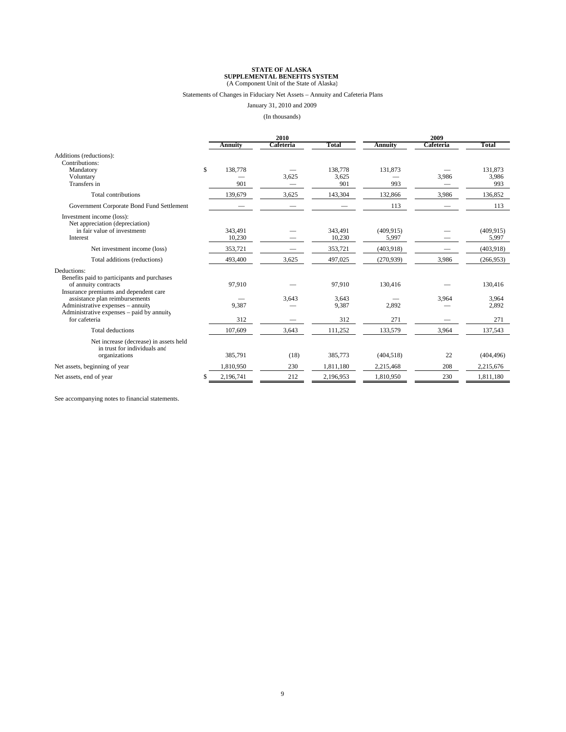#### Statements of Changes in Fiduciary Net Assets – Annuity and Cafeteria Plans

January 31, 2010 and 2009

(In thousands)

|                                                                        | 2010          |           |                | 2009           |           |            |
|------------------------------------------------------------------------|---------------|-----------|----------------|----------------|-----------|------------|
|                                                                        | Annuity       | Cafeteria | Total          | <b>Annuity</b> | Cafeteria | Total      |
| Additions (reductions):<br>Contributions:                              |               |           |                |                |           |            |
| Mandatory                                                              | \$<br>138,778 |           | 138,778        | 131.873        |           | 131.873    |
| Voluntary                                                              |               | 3,625     | 3,625          |                | 3,986     | 3,986      |
| Transfers in                                                           | 901           |           | 901            | 993            |           | 993        |
| <b>Total contributions</b>                                             | 139,679       | 3,625     | 143,304        | 132,866        | 3,986     | 136,852    |
| Government Corporate Bond Fund Settlement                              |               |           |                | 113            |           | 113        |
| Investment income (loss):<br>Net appreciation (depreciation)           |               |           |                |                |           |            |
| in fair value of investments                                           | 343,491       |           | 343,491        | (409, 915)     |           | (409, 915) |
| Interest                                                               | 10,230        |           | 10.230         | 5,997          |           | 5,997      |
| Net investment income (loss)                                           | 353,721       |           | 353,721        | (403.918)      |           | (403,918)  |
| Total additions (reductions)                                           | 493,400       | 3,625     | 497,025        | (270,939)      | 3,986     | (266,953)  |
| Deductions:                                                            |               |           |                |                |           |            |
| Benefits paid to participants and purchases                            |               |           |                |                |           |            |
| of annuity contracts                                                   | 97,910        |           | 97,910         | 130,416        |           | 130,416    |
| Insurance premiums and dependent care                                  |               |           |                |                |           |            |
| assistance plan reimbursements<br>Administrative expenses - annuity    | 9,387         | 3,643     | 3,643<br>9,387 | 2,892          | 3,964     | 3,964      |
| Administrative expenses – paid by annuity                              |               |           |                |                |           | 2,892      |
| for cafeteria                                                          | 312           |           | 312            | 271            |           | 271        |
| <b>Total deductions</b>                                                | 107,609       | 3,643     | 111,252        | 133,579        | 3,964     | 137,543    |
| Net increase (decrease) in assets held<br>in trust for individuals and |               |           |                |                |           |            |
| organizations                                                          | 385,791       | (18)      | 385,773        | (404, 518)     | 22        | (404, 496) |
| Net assets, beginning of year                                          | 1,810,950     | 230       | 1,811,180      | 2,215,468      | 208       | 2,215,676  |
| Net assets, end of year                                                | 2,196,741     | 212       | 2,196,953      | 1,810,950      | 230       | 1,811,180  |

See accompanying notes to financial statements.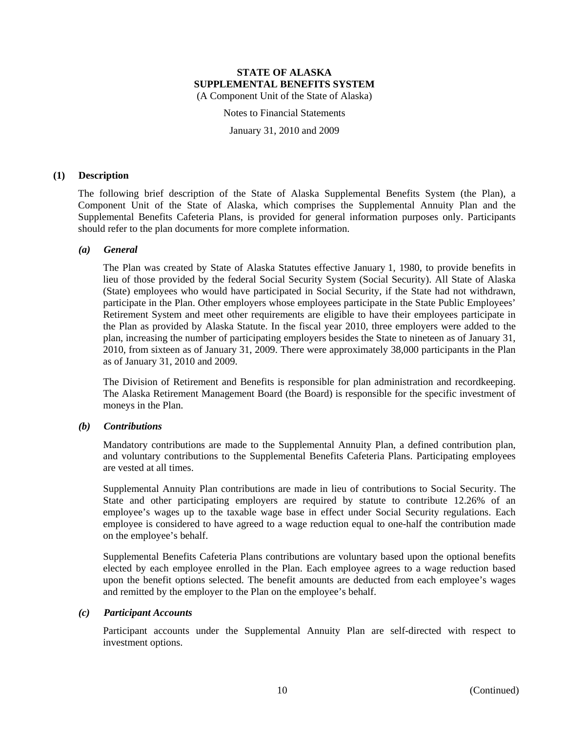Notes to Financial Statements

January 31, 2010 and 2009

#### **(1) Description**

The following brief description of the State of Alaska Supplemental Benefits System (the Plan), a Component Unit of the State of Alaska, which comprises the Supplemental Annuity Plan and the Supplemental Benefits Cafeteria Plans, is provided for general information purposes only. Participants should refer to the plan documents for more complete information.

#### *(a) General*

The Plan was created by State of Alaska Statutes effective January 1, 1980, to provide benefits in lieu of those provided by the federal Social Security System (Social Security). All State of Alaska (State) employees who would have participated in Social Security, if the State had not withdrawn, participate in the Plan. Other employers whose employees participate in the State Public Employees' Retirement System and meet other requirements are eligible to have their employees participate in the Plan as provided by Alaska Statute. In the fiscal year 2010, three employers were added to the plan, increasing the number of participating employers besides the State to nineteen as of January 31, 2010, from sixteen as of January 31, 2009. There were approximately 38,000 participants in the Plan as of January 31, 2010 and 2009.

The Division of Retirement and Benefits is responsible for plan administration and recordkeeping. The Alaska Retirement Management Board (the Board) is responsible for the specific investment of moneys in the Plan.

#### *(b) Contributions*

Mandatory contributions are made to the Supplemental Annuity Plan, a defined contribution plan, and voluntary contributions to the Supplemental Benefits Cafeteria Plans. Participating employees are vested at all times.

Supplemental Annuity Plan contributions are made in lieu of contributions to Social Security. The State and other participating employers are required by statute to contribute 12.26% of an employee's wages up to the taxable wage base in effect under Social Security regulations. Each employee is considered to have agreed to a wage reduction equal to one-half the contribution made on the employee's behalf.

Supplemental Benefits Cafeteria Plans contributions are voluntary based upon the optional benefits elected by each employee enrolled in the Plan. Each employee agrees to a wage reduction based upon the benefit options selected. The benefit amounts are deducted from each employee's wages and remitted by the employer to the Plan on the employee's behalf.

#### *(c) Participant Accounts*

Participant accounts under the Supplemental Annuity Plan are self-directed with respect to investment options.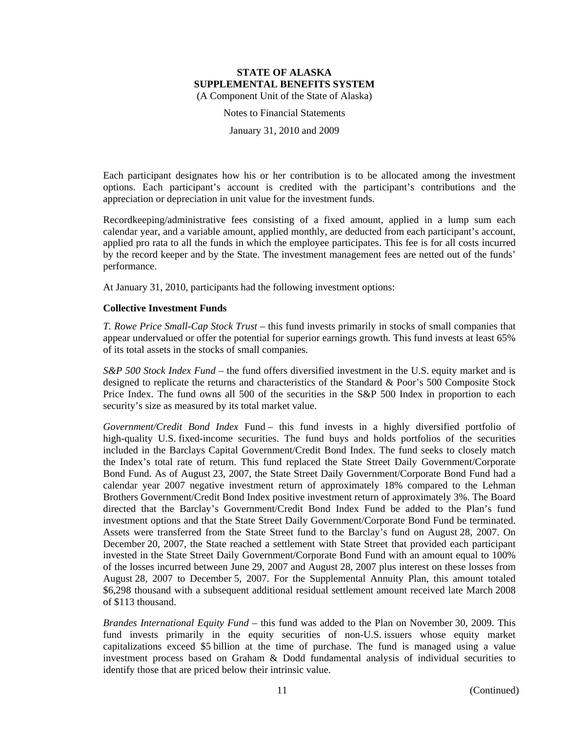Notes to Financial Statements

January 31, 2010 and 2009

Each participant designates how his or her contribution is to be allocated among the investment options. Each participant's account is credited with the participant's contributions and the appreciation or depreciation in unit value for the investment funds.

Recordkeeping/administrative fees consisting of a fixed amount, applied in a lump sum each calendar year, and a variable amount, applied monthly, are deducted from each participant's account, applied pro rata to all the funds in which the employee participates. This fee is for all costs incurred by the record keeper and by the State. The investment management fees are netted out of the funds' performance.

At January 31, 2010, participants had the following investment options:

#### **Collective Investment Funds**

*T. Rowe Price Small-Cap Stock Trust* – this fund invests primarily in stocks of small companies that appear undervalued or offer the potential for superior earnings growth. This fund invests at least 65% of its total assets in the stocks of small companies.

*S&P 500 Stock Index Fund* – the fund offers diversified investment in the U.S. equity market and is designed to replicate the returns and characteristics of the Standard & Poor's 500 Composite Stock Price Index. The fund owns all 500 of the securities in the S&P 500 Index in proportion to each security's size as measured by its total market value.

*Government/Credit Bond Index* Fund – this fund invests in a highly diversified portfolio of high-quality U.S. fixed-income securities. The fund buys and holds portfolios of the securities included in the Barclays Capital Government/Credit Bond Index. The fund seeks to closely match the Index's total rate of return. This fund replaced the State Street Daily Government/Corporate Bond Fund. As of August 23, 2007, the State Street Daily Government/Corporate Bond Fund had a calendar year 2007 negative investment return of approximately 18% compared to the Lehman Brothers Government/Credit Bond Index positive investment return of approximately 3%. The Board directed that the Barclay's Government/Credit Bond Index Fund be added to the Plan's fund investment options and that the State Street Daily Government/Corporate Bond Fund be terminated. Assets were transferred from the State Street fund to the Barclay's fund on August 28, 2007. On December 20, 2007, the State reached a settlement with State Street that provided each participant invested in the State Street Daily Government/Corporate Bond Fund with an amount equal to 100% of the losses incurred between June 29, 2007 and August 28, 2007 plus interest on these losses from August 28, 2007 to December 5, 2007. For the Supplemental Annuity Plan, this amount totaled \$6,298 thousand with a subsequent additional residual settlement amount received late March 2008 of \$113 thousand.

*Brandes International Equity Fund* – this fund was added to the Plan on November 30, 2009. This fund invests primarily in the equity securities of non-U.S. issuers whose equity market capitalizations exceed \$5 billion at the time of purchase. The fund is managed using a value investment process based on Graham & Dodd fundamental analysis of individual securities to identify those that are priced below their intrinsic value.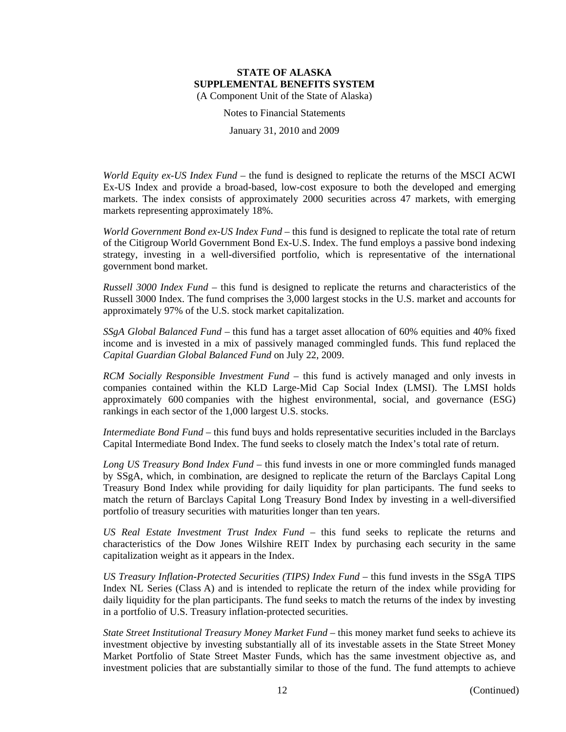Notes to Financial Statements

January 31, 2010 and 2009

*World Equity ex-US Index Fund* – the fund is designed to replicate the returns of the MSCI ACWI Ex-US Index and provide a broad-based, low-cost exposure to both the developed and emerging markets. The index consists of approximately 2000 securities across 47 markets, with emerging markets representing approximately 18%.

*World Government Bond ex-US Index Fund* – this fund is designed to replicate the total rate of return of the Citigroup World Government Bond Ex-U.S. Index. The fund employs a passive bond indexing strategy, investing in a well-diversified portfolio, which is representative of the international government bond market.

*Russell 3000 Index Fund* – this fund is designed to replicate the returns and characteristics of the Russell 3000 Index. The fund comprises the 3,000 largest stocks in the U.S. market and accounts for approximately 97% of the U.S. stock market capitalization.

*SSgA Global Balanced Fund –* this fund has a target asset allocation of 60% equities and 40% fixed income and is invested in a mix of passively managed commingled funds. This fund replaced the *Capital Guardian Global Balanced Fund* on July 22, 2009.

*RCM Socially Responsible Investment Fund* – this fund is actively managed and only invests in companies contained within the KLD Large-Mid Cap Social Index (LMSI). The LMSI holds approximately 600 companies with the highest environmental, social, and governance (ESG) rankings in each sector of the 1,000 largest U.S. stocks.

*Intermediate Bond Fund* – this fund buys and holds representative securities included in the Barclays Capital Intermediate Bond Index. The fund seeks to closely match the Index's total rate of return.

Long US Treasury Bond Index Fund – this fund invests in one or more commingled funds managed by SSgA, which, in combination, are designed to replicate the return of the Barclays Capital Long Treasury Bond Index while providing for daily liquidity for plan participants. The fund seeks to match the return of Barclays Capital Long Treasury Bond Index by investing in a well-diversified portfolio of treasury securities with maturities longer than ten years.

*US Real Estate Investment Trust Index Fund* – this fund seeks to replicate the returns and characteristics of the Dow Jones Wilshire REIT Index by purchasing each security in the same capitalization weight as it appears in the Index.

US Treasury Inflation-Protected Securities (TIPS) Index Fund – this fund invests in the SSgA TIPS Index NL Series (Class A) and is intended to replicate the return of the index while providing for daily liquidity for the plan participants. The fund seeks to match the returns of the index by investing in a portfolio of U.S. Treasury inflation-protected securities.

*State Street Institutional Treasury Money Market Fund* – this money market fund seeks to achieve its investment objective by investing substantially all of its investable assets in the State Street Money Market Portfolio of State Street Master Funds, which has the same investment objective as, and investment policies that are substantially similar to those of the fund. The fund attempts to achieve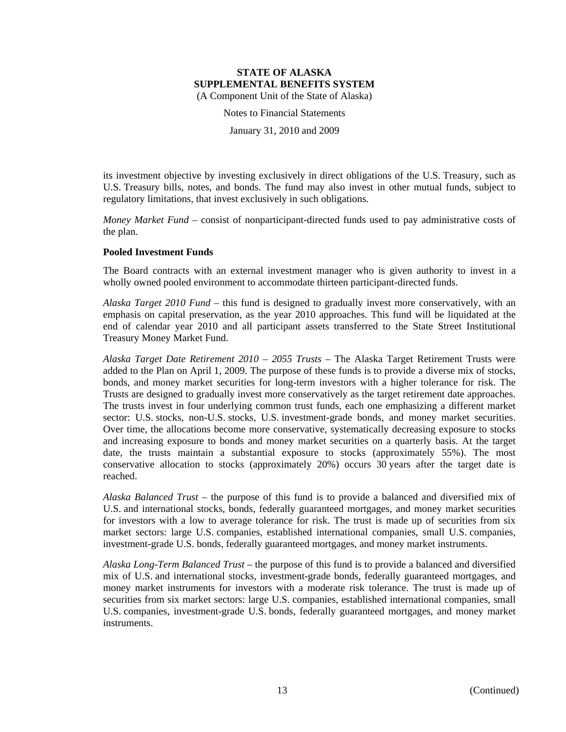Notes to Financial Statements

January 31, 2010 and 2009

its investment objective by investing exclusively in direct obligations of the U.S. Treasury, such as U.S. Treasury bills, notes, and bonds. The fund may also invest in other mutual funds, subject to regulatory limitations, that invest exclusively in such obligations.

*Money Market Fund –* consist of nonparticipant-directed funds used to pay administrative costs of the plan.

#### **Pooled Investment Funds**

The Board contracts with an external investment manager who is given authority to invest in a wholly owned pooled environment to accommodate thirteen participant-directed funds.

*Alaska Target 2010 Fund* – this fund is designed to gradually invest more conservatively, with an emphasis on capital preservation, as the year 2010 approaches. This fund will be liquidated at the end of calendar year 2010 and all participant assets transferred to the State Street Institutional Treasury Money Market Fund.

*Alaska Target Date Retirement 2010 – 2055 Trusts* – The Alaska Target Retirement Trusts were added to the Plan on April 1, 2009. The purpose of these funds is to provide a diverse mix of stocks, bonds, and money market securities for long-term investors with a higher tolerance for risk. The Trusts are designed to gradually invest more conservatively as the target retirement date approaches. The trusts invest in four underlying common trust funds, each one emphasizing a different market sector: U.S. stocks, non-U.S. stocks, U.S. investment-grade bonds, and money market securities. Over time, the allocations become more conservative, systematically decreasing exposure to stocks and increasing exposure to bonds and money market securities on a quarterly basis. At the target date, the trusts maintain a substantial exposure to stocks (approximately 55%). The most conservative allocation to stocks (approximately 20%) occurs 30 years after the target date is reached.

*Alaska Balanced Trust* – the purpose of this fund is to provide a balanced and diversified mix of U.S. and international stocks, bonds, federally guaranteed mortgages, and money market securities for investors with a low to average tolerance for risk. The trust is made up of securities from six market sectors: large U.S. companies, established international companies, small U.S. companies, investment-grade U.S. bonds, federally guaranteed mortgages, and money market instruments.

*Alaska Long-Term Balanced Trust* – the purpose of this fund is to provide a balanced and diversified mix of U.S. and international stocks, investment-grade bonds, federally guaranteed mortgages, and money market instruments for investors with a moderate risk tolerance. The trust is made up of securities from six market sectors: large U.S. companies, established international companies, small U.S. companies, investment-grade U.S. bonds, federally guaranteed mortgages, and money market instruments.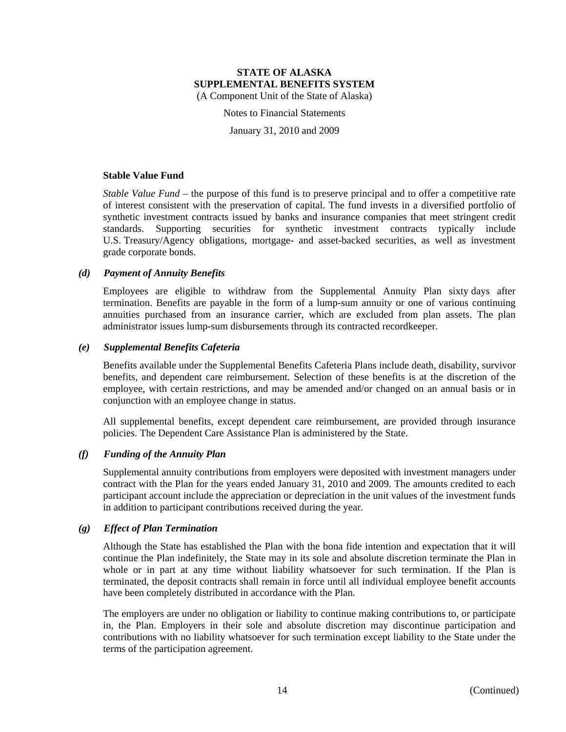Notes to Financial Statements

January 31, 2010 and 2009

#### **Stable Value Fund**

*Stable Value Fund* – the purpose of this fund is to preserve principal and to offer a competitive rate of interest consistent with the preservation of capital. The fund invests in a diversified portfolio of synthetic investment contracts issued by banks and insurance companies that meet stringent credit standards. Supporting securities for synthetic investment contracts typically include U.S. Treasury/Agency obligations, mortgage- and asset-backed securities, as well as investment grade corporate bonds.

#### *(d) Payment of Annuity Benefits*

Employees are eligible to withdraw from the Supplemental Annuity Plan sixty days after termination. Benefits are payable in the form of a lump-sum annuity or one of various continuing annuities purchased from an insurance carrier, which are excluded from plan assets. The plan administrator issues lump-sum disbursements through its contracted recordkeeper.

#### *(e) Supplemental Benefits Cafeteria*

Benefits available under the Supplemental Benefits Cafeteria Plans include death, disability, survivor benefits, and dependent care reimbursement. Selection of these benefits is at the discretion of the employee, with certain restrictions, and may be amended and/or changed on an annual basis or in conjunction with an employee change in status.

All supplemental benefits, except dependent care reimbursement, are provided through insurance policies. The Dependent Care Assistance Plan is administered by the State.

#### *(f) Funding of the Annuity Plan*

Supplemental annuity contributions from employers were deposited with investment managers under contract with the Plan for the years ended January 31, 2010 and 2009. The amounts credited to each participant account include the appreciation or depreciation in the unit values of the investment funds in addition to participant contributions received during the year.

# *(g) Effect of Plan Termination*

Although the State has established the Plan with the bona fide intention and expectation that it will continue the Plan indefinitely, the State may in its sole and absolute discretion terminate the Plan in whole or in part at any time without liability whatsoever for such termination. If the Plan is terminated, the deposit contracts shall remain in force until all individual employee benefit accounts have been completely distributed in accordance with the Plan.

The employers are under no obligation or liability to continue making contributions to, or participate in, the Plan. Employers in their sole and absolute discretion may discontinue participation and contributions with no liability whatsoever for such termination except liability to the State under the terms of the participation agreement.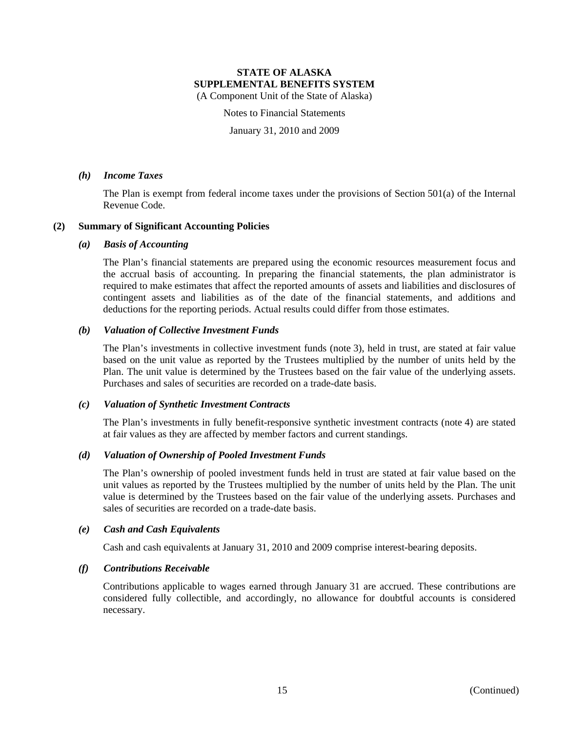Notes to Financial Statements

January 31, 2010 and 2009

#### *(h) Income Taxes*

The Plan is exempt from federal income taxes under the provisions of Section 501(a) of the Internal Revenue Code.

# **(2) Summary of Significant Accounting Policies**

# *(a) Basis of Accounting*

The Plan's financial statements are prepared using the economic resources measurement focus and the accrual basis of accounting. In preparing the financial statements, the plan administrator is required to make estimates that affect the reported amounts of assets and liabilities and disclosures of contingent assets and liabilities as of the date of the financial statements, and additions and deductions for the reporting periods. Actual results could differ from those estimates.

# *(b) Valuation of Collective Investment Funds*

The Plan's investments in collective investment funds (note 3), held in trust, are stated at fair value based on the unit value as reported by the Trustees multiplied by the number of units held by the Plan. The unit value is determined by the Trustees based on the fair value of the underlying assets. Purchases and sales of securities are recorded on a trade-date basis.

# *(c) Valuation of Synthetic Investment Contracts*

The Plan's investments in fully benefit-responsive synthetic investment contracts (note 4) are stated at fair values as they are affected by member factors and current standings.

# *(d) Valuation of Ownership of Pooled Investment Funds*

The Plan's ownership of pooled investment funds held in trust are stated at fair value based on the unit values as reported by the Trustees multiplied by the number of units held by the Plan. The unit value is determined by the Trustees based on the fair value of the underlying assets. Purchases and sales of securities are recorded on a trade-date basis.

# *(e) Cash and Cash Equivalents*

Cash and cash equivalents at January 31, 2010 and 2009 comprise interest-bearing deposits.

# *(f) Contributions Receivable*

Contributions applicable to wages earned through January 31 are accrued. These contributions are considered fully collectible, and accordingly, no allowance for doubtful accounts is considered necessary.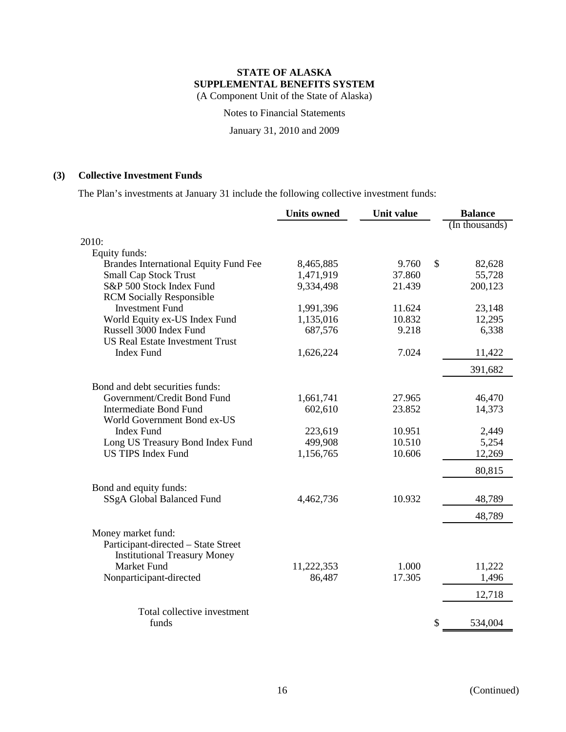Notes to Financial Statements

January 31, 2010 and 2009

# **(3) Collective Investment Funds**

The Plan's investments at January 31 include the following collective investment funds:

|                                        | <b>Units owned</b> | Unit value | <b>Balance</b> |
|----------------------------------------|--------------------|------------|----------------|
|                                        |                    |            | (In thousands) |
| 2010:                                  |                    |            |                |
| Equity funds:                          |                    |            |                |
| Brandes International Equity Fund Fee  | 8,465,885          | 9.760      | \$<br>82,628   |
| <b>Small Cap Stock Trust</b>           | 1,471,919          | 37.860     | 55,728         |
| S&P 500 Stock Index Fund               | 9,334,498          | 21.439     | 200,123        |
| <b>RCM</b> Socially Responsible        |                    |            |                |
| <b>Investment Fund</b>                 | 1,991,396          | 11.624     | 23,148         |
| World Equity ex-US Index Fund          | 1,135,016          | 10.832     | 12,295         |
| Russell 3000 Index Fund                | 687,576            | 9.218      | 6,338          |
| <b>US Real Estate Investment Trust</b> |                    |            |                |
| <b>Index Fund</b>                      | 1,626,224          | 7.024      | 11,422         |
|                                        |                    |            | 391,682        |
| Bond and debt securities funds:        |                    |            |                |
| Government/Credit Bond Fund            | 1,661,741          | 27.965     | 46,470         |
| <b>Intermediate Bond Fund</b>          | 602,610            | 23.852     | 14,373         |
| World Government Bond ex-US            |                    |            |                |
| <b>Index Fund</b>                      | 223,619            | 10.951     | 2,449          |
| Long US Treasury Bond Index Fund       | 499,908            | 10.510     | 5,254          |
| <b>US TIPS Index Fund</b>              | 1,156,765          | 10.606     | 12,269         |
|                                        |                    |            | 80,815         |
| Bond and equity funds:                 |                    |            |                |
| SSgA Global Balanced Fund              | 4,462,736          | 10.932     | 48,789         |
|                                        |                    |            | 48,789         |
| Money market fund:                     |                    |            |                |
| Participant-directed - State Street    |                    |            |                |
| <b>Institutional Treasury Money</b>    |                    |            |                |
| <b>Market Fund</b>                     | 11,222,353         | 1.000      | 11,222         |
| Nonparticipant-directed                | 86,487             | 17.305     | 1,496          |
|                                        |                    |            | 12,718         |
| Total collective investment            |                    |            |                |
| funds                                  |                    |            | \$<br>534,004  |
|                                        |                    |            |                |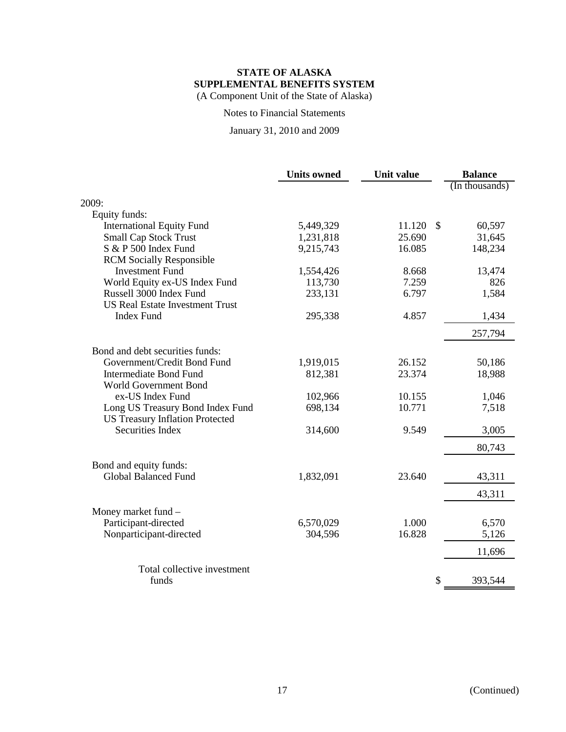Notes to Financial Statements

January 31, 2010 and 2009

|                                        | <b>Units owned</b> | <b>Unit value</b> | <b>Balance</b>          |
|----------------------------------------|--------------------|-------------------|-------------------------|
|                                        |                    |                   | (In thousands)          |
| 2009:                                  |                    |                   |                         |
| Equity funds:                          |                    |                   |                         |
| <b>International Equity Fund</b>       | 5,449,329          | 11.120            | $\mathcal{S}$<br>60,597 |
| <b>Small Cap Stock Trust</b>           | 1,231,818          | 25.690            | 31,645                  |
| S & P 500 Index Fund                   | 9,215,743          | 16.085            | 148,234                 |
| <b>RCM</b> Socially Responsible        |                    |                   |                         |
| <b>Investment Fund</b>                 | 1,554,426          | 8.668             | 13,474                  |
| World Equity ex-US Index Fund          | 113,730            | 7.259             | 826                     |
| Russell 3000 Index Fund                | 233,131            | 6.797             | 1,584                   |
| <b>US Real Estate Investment Trust</b> |                    |                   |                         |
| <b>Index Fund</b>                      | 295,338            | 4.857             | 1,434                   |
|                                        |                    |                   | 257,794                 |
| Bond and debt securities funds:        |                    |                   |                         |
| Government/Credit Bond Fund            | 1,919,015          | 26.152            | 50,186                  |
| <b>Intermediate Bond Fund</b>          | 812,381            | 23.374            | 18,988                  |
| World Government Bond                  |                    |                   |                         |
| ex-US Index Fund                       | 102,966            | 10.155            | 1,046                   |
| Long US Treasury Bond Index Fund       | 698,134            | 10.771            | 7,518                   |
| <b>US Treasury Inflation Protected</b> |                    |                   |                         |
| <b>Securities Index</b>                | 314,600            | 9.549             | 3,005                   |
|                                        |                    |                   | 80,743                  |
| Bond and equity funds:                 |                    |                   |                         |
| <b>Global Balanced Fund</b>            | 1,832,091          | 23.640            | 43,311                  |
|                                        |                    |                   | 43,311                  |
| Money market fund -                    |                    |                   |                         |
| Participant-directed                   | 6,570,029          | 1.000             | 6,570                   |
| Nonparticipant-directed                | 304,596            | 16.828            | 5,126                   |
|                                        |                    |                   | 11,696                  |
| Total collective investment            |                    |                   |                         |
| funds                                  |                    |                   | \$<br>393,544           |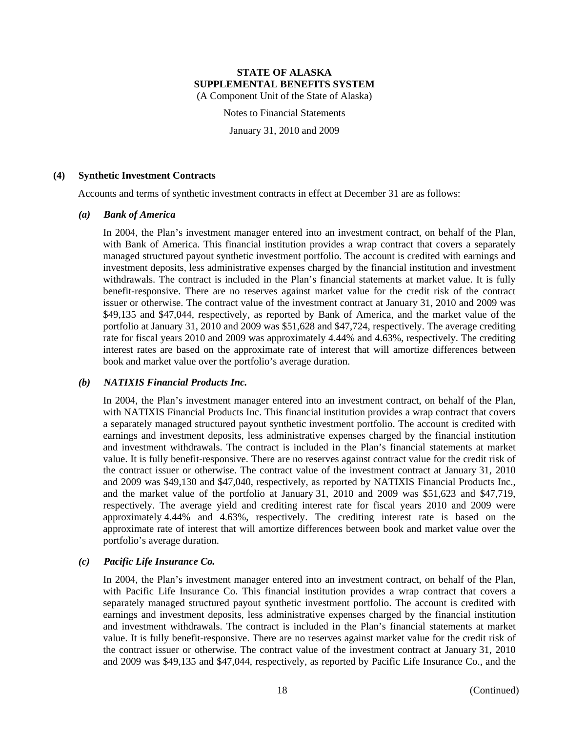Notes to Financial Statements

January 31, 2010 and 2009

#### **(4) Synthetic Investment Contracts**

Accounts and terms of synthetic investment contracts in effect at December 31 are as follows:

#### *(a) Bank of America*

In 2004, the Plan's investment manager entered into an investment contract, on behalf of the Plan, with Bank of America. This financial institution provides a wrap contract that covers a separately managed structured payout synthetic investment portfolio. The account is credited with earnings and investment deposits, less administrative expenses charged by the financial institution and investment withdrawals. The contract is included in the Plan's financial statements at market value. It is fully benefit-responsive. There are no reserves against market value for the credit risk of the contract issuer or otherwise. The contract value of the investment contract at January 31, 2010 and 2009 was \$49,135 and \$47,044, respectively, as reported by Bank of America, and the market value of the portfolio at January 31, 2010 and 2009 was \$51,628 and \$47,724, respectively. The average crediting rate for fiscal years 2010 and 2009 was approximately 4.44% and 4.63%, respectively. The crediting interest rates are based on the approximate rate of interest that will amortize differences between book and market value over the portfolio's average duration.

# *(b) NATIXIS Financial Products Inc.*

In 2004, the Plan's investment manager entered into an investment contract, on behalf of the Plan, with NATIXIS Financial Products Inc. This financial institution provides a wrap contract that covers a separately managed structured payout synthetic investment portfolio. The account is credited with earnings and investment deposits, less administrative expenses charged by the financial institution and investment withdrawals. The contract is included in the Plan's financial statements at market value. It is fully benefit-responsive. There are no reserves against contract value for the credit risk of the contract issuer or otherwise. The contract value of the investment contract at January 31, 2010 and 2009 was \$49,130 and \$47,040, respectively, as reported by NATIXIS Financial Products Inc., and the market value of the portfolio at January 31, 2010 and 2009 was \$51,623 and \$47,719, respectively. The average yield and crediting interest rate for fiscal years 2010 and 2009 were approximately 4.44% and 4.63%, respectively. The crediting interest rate is based on the approximate rate of interest that will amortize differences between book and market value over the portfolio's average duration.

# *(c) Pacific Life Insurance Co.*

In 2004, the Plan's investment manager entered into an investment contract, on behalf of the Plan, with Pacific Life Insurance Co. This financial institution provides a wrap contract that covers a separately managed structured payout synthetic investment portfolio. The account is credited with earnings and investment deposits, less administrative expenses charged by the financial institution and investment withdrawals. The contract is included in the Plan's financial statements at market value. It is fully benefit-responsive. There are no reserves against market value for the credit risk of the contract issuer or otherwise. The contract value of the investment contract at January 31, 2010 and 2009 was \$49,135 and \$47,044, respectively, as reported by Pacific Life Insurance Co., and the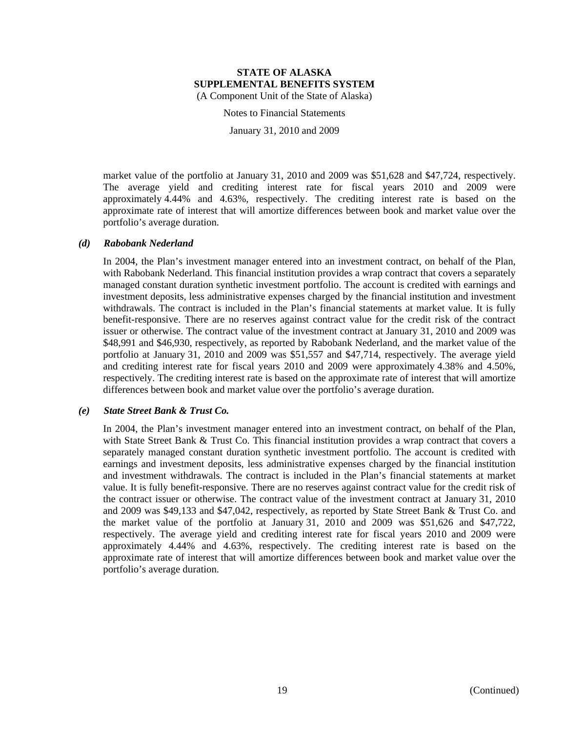Notes to Financial Statements

January 31, 2010 and 2009

market value of the portfolio at January 31, 2010 and 2009 was \$51,628 and \$47,724, respectively. The average yield and crediting interest rate for fiscal years 2010 and 2009 were approximately 4.44% and 4.63%, respectively. The crediting interest rate is based on the approximate rate of interest that will amortize differences between book and market value over the portfolio's average duration.

#### *(d) Rabobank Nederland*

In 2004, the Plan's investment manager entered into an investment contract, on behalf of the Plan, with Rabobank Nederland. This financial institution provides a wrap contract that covers a separately managed constant duration synthetic investment portfolio. The account is credited with earnings and investment deposits, less administrative expenses charged by the financial institution and investment withdrawals. The contract is included in the Plan's financial statements at market value. It is fully benefit-responsive. There are no reserves against contract value for the credit risk of the contract issuer or otherwise. The contract value of the investment contract at January 31, 2010 and 2009 was \$48,991 and \$46,930, respectively, as reported by Rabobank Nederland, and the market value of the portfolio at January 31, 2010 and 2009 was \$51,557 and \$47,714, respectively. The average yield and crediting interest rate for fiscal years 2010 and 2009 were approximately 4.38% and 4.50%, respectively. The crediting interest rate is based on the approximate rate of interest that will amortize differences between book and market value over the portfolio's average duration.

#### *(e) State Street Bank & Trust Co.*

In 2004, the Plan's investment manager entered into an investment contract, on behalf of the Plan, with State Street Bank & Trust Co. This financial institution provides a wrap contract that covers a separately managed constant duration synthetic investment portfolio. The account is credited with earnings and investment deposits, less administrative expenses charged by the financial institution and investment withdrawals. The contract is included in the Plan's financial statements at market value. It is fully benefit-responsive. There are no reserves against contract value for the credit risk of the contract issuer or otherwise. The contract value of the investment contract at January 31, 2010 and 2009 was \$49,133 and \$47,042, respectively, as reported by State Street Bank & Trust Co. and the market value of the portfolio at January 31, 2010 and 2009 was \$51,626 and \$47,722, respectively. The average yield and crediting interest rate for fiscal years 2010 and 2009 were approximately 4.44% and 4.63%, respectively. The crediting interest rate is based on the approximate rate of interest that will amortize differences between book and market value over the portfolio's average duration.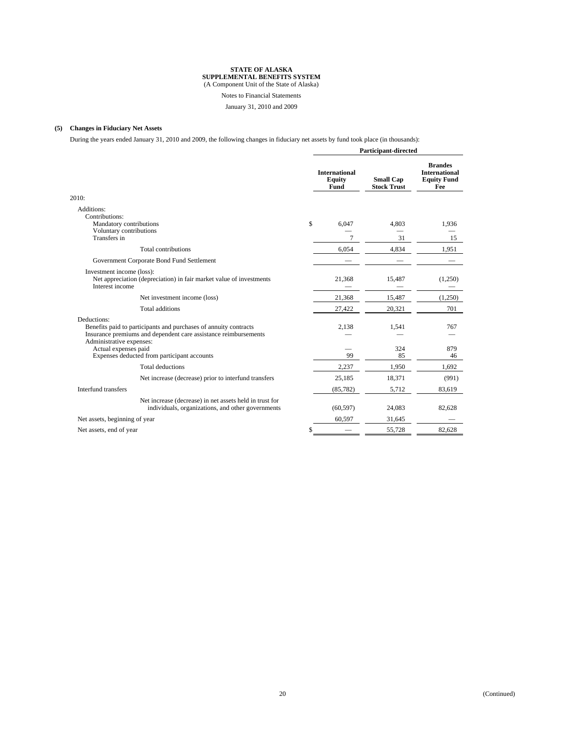#### Notes to Financial Statements

January 31, 2010 and 2009

#### **(5) Changes in Fiduciary Net Assets**

During the years ended January 31, 2010 and 2009, the following changes in fiduciary net assets by fund took place (in thousands):

|                                                                                                                                                                                                                                                       | <b>Participant-directed</b> |                                               |                                        |                                                                     |
|-------------------------------------------------------------------------------------------------------------------------------------------------------------------------------------------------------------------------------------------------------|-----------------------------|-----------------------------------------------|----------------------------------------|---------------------------------------------------------------------|
|                                                                                                                                                                                                                                                       |                             | <b>International</b><br><b>Equity</b><br>Fund | <b>Small Cap</b><br><b>Stock Trust</b> | <b>Brandes</b><br><b>International</b><br><b>Equity Fund</b><br>Fee |
| 2010:                                                                                                                                                                                                                                                 |                             |                                               |                                        |                                                                     |
| Additions:<br>Contributions:<br>Mandatory contributions                                                                                                                                                                                               | \$                          | 6,047                                         | 4,803                                  | 1,936                                                               |
| Voluntary contributions<br>Transfers in                                                                                                                                                                                                               |                             | $\overline{7}$                                | 31                                     | 15                                                                  |
| Total contributions                                                                                                                                                                                                                                   |                             | 6,054                                         | 4,834                                  | 1,951                                                               |
| Government Corporate Bond Fund Settlement                                                                                                                                                                                                             |                             |                                               |                                        |                                                                     |
| Investment income (loss):<br>Net appreciation (depreciation) in fair market value of investments<br>Interest income                                                                                                                                   |                             | 21.368                                        | 15.487                                 | (1,250)                                                             |
| Net investment income (loss)                                                                                                                                                                                                                          |                             | 21,368                                        | 15,487                                 | (1,250)                                                             |
| Total additions                                                                                                                                                                                                                                       |                             | 27,422                                        | 20.321                                 | 701                                                                 |
| Deductions:<br>Benefits paid to participants and purchases of annuity contracts<br>Insurance premiums and dependent care assistance reimbursements<br>Administrative expenses:<br>Actual expenses paid<br>Expenses deducted from participant accounts |                             | 2.138<br>99                                   | 1.541<br>324<br>85                     | 767<br>879<br>46                                                    |
| Total deductions                                                                                                                                                                                                                                      |                             | 2,237                                         | 1,950                                  | 1,692                                                               |
| Net increase (decrease) prior to interfund transfers                                                                                                                                                                                                  |                             | 25,185                                        | 18,371                                 | (991)                                                               |
| Interfund transfers                                                                                                                                                                                                                                   |                             | (85, 782)                                     | 5,712                                  | 83,619                                                              |
| Net increase (decrease) in net assets held in trust for<br>individuals, organizations, and other governments                                                                                                                                          |                             | (60, 597)                                     | 24,083                                 | 82,628                                                              |
| Net assets, beginning of year                                                                                                                                                                                                                         |                             | 60,597                                        | 31,645                                 |                                                                     |
| Net assets, end of year                                                                                                                                                                                                                               |                             |                                               | 55,728                                 | 82,628                                                              |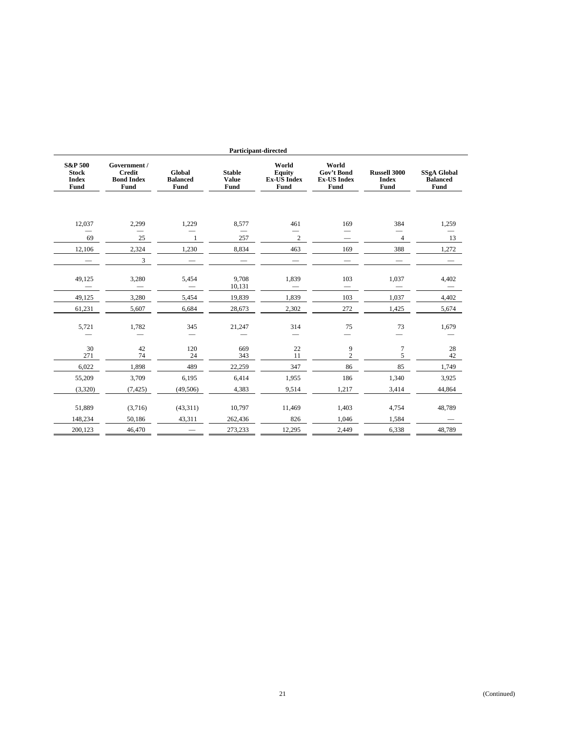|                                                            | <b>Participant-directed</b>                                |                                          |                                              |                                               |                                                   |                                             |                                               |  |  |
|------------------------------------------------------------|------------------------------------------------------------|------------------------------------------|----------------------------------------------|-----------------------------------------------|---------------------------------------------------|---------------------------------------------|-----------------------------------------------|--|--|
| <b>S&amp;P 500</b><br><b>Stock</b><br><b>Index</b><br>Fund | Government /<br><b>Credit</b><br><b>Bond Index</b><br>Fund | Global<br><b>Balanced</b><br><b>Fund</b> | <b>Stable</b><br><b>Value</b><br><b>Fund</b> | World<br>Equity<br><b>Ex-US Index</b><br>Fund | World<br>Gov't Bond<br><b>Ex-US Index</b><br>Fund | <b>Russell 3000</b><br><b>Index</b><br>Fund | <b>SSgA Global</b><br><b>Balanced</b><br>Fund |  |  |
|                                                            |                                                            |                                          |                                              |                                               |                                                   |                                             |                                               |  |  |
| 12,037                                                     | 2,299                                                      | 1,229                                    | 8,577                                        | 461                                           | 169                                               | 384                                         | 1,259                                         |  |  |
| 69                                                         | 25                                                         | $\mathbf{1}$                             | 257                                          | $\sqrt{2}$                                    |                                                   | $\overline{4}$                              | 13                                            |  |  |
| 12,106                                                     | 2,324                                                      | 1,230                                    | 8,834                                        | 463                                           | 169                                               | 388                                         | 1,272                                         |  |  |
|                                                            | 3                                                          |                                          |                                              |                                               |                                                   |                                             |                                               |  |  |
| 49,125                                                     | 3,280                                                      | 5,454                                    | 9,708<br>10,131                              | 1,839                                         | 103                                               | 1,037                                       | 4,402                                         |  |  |
| 49,125                                                     | 3,280                                                      | 5,454                                    | 19,839                                       | 1,839                                         | 103                                               | 1,037                                       | 4,402                                         |  |  |
| 61,231                                                     | 5,607                                                      | 6,684                                    | 28,673                                       | 2,302                                         | 272                                               | 1,425                                       | 5,674                                         |  |  |
| 5,721                                                      | 1,782                                                      | 345                                      | 21,247                                       | 314                                           | 75                                                | 73                                          | 1,679                                         |  |  |
| 30                                                         | 42                                                         | 120                                      | 669                                          | 22                                            | 9                                                 | $\tau$                                      | 28                                            |  |  |
| 271                                                        | 74                                                         | 24                                       | 343                                          | 11                                            | $\overline{c}$                                    | 5                                           | 42                                            |  |  |
| 6,022                                                      | 1,898                                                      | 489                                      | 22,259                                       | 347                                           | 86                                                | 85                                          | 1,749                                         |  |  |
| 55,209                                                     | 3,709                                                      | 6,195                                    | 6,414                                        | 1,955                                         | 186                                               | 1,340                                       | 3,925                                         |  |  |
| (3,320)                                                    | (7, 425)                                                   | (49,506)                                 | 4,383                                        | 9,514                                         | 1,217                                             | 3,414                                       | 44,864                                        |  |  |
| 51,889                                                     | (3,716)                                                    | (43,311)                                 | 10,797                                       | 11,469                                        | 1,403                                             | 4,754                                       | 48,789                                        |  |  |
| 148,234                                                    | 50,186                                                     | 43,311                                   | 262,436                                      | 826                                           | 1,046                                             | 1,584                                       |                                               |  |  |
| 200,123                                                    | 46,470                                                     |                                          | 273,233                                      | 12,295                                        | 2,449                                             | 6,338                                       | 48,789                                        |  |  |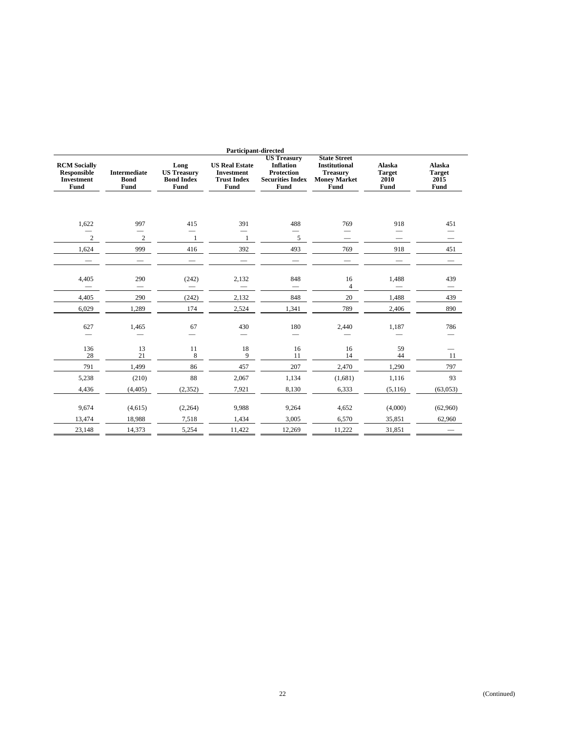|                                                                 | <b>Participant-directed</b>                |                                                         |                                                                          |                                                                                                |                                                                                               |                                                |                                                |  |  |  |
|-----------------------------------------------------------------|--------------------------------------------|---------------------------------------------------------|--------------------------------------------------------------------------|------------------------------------------------------------------------------------------------|-----------------------------------------------------------------------------------------------|------------------------------------------------|------------------------------------------------|--|--|--|
| <b>RCM Socially</b><br><b>Responsible</b><br>Investment<br>Fund | <b>Intermediate</b><br><b>Bond</b><br>Fund | Long<br><b>US Treasury</b><br><b>Bond Index</b><br>Fund | <b>US Real Estate</b><br><b>Investment</b><br><b>Trust Index</b><br>Fund | <b>US Treasury</b><br><b>Inflation</b><br><b>Protection</b><br><b>Securities Index</b><br>Fund | <b>State Street</b><br><b>Institutional</b><br><b>Treasury</b><br><b>Money Market</b><br>Fund | <b>Alaska</b><br><b>Target</b><br>2010<br>Fund | <b>Alaska</b><br><b>Target</b><br>2015<br>Fund |  |  |  |
|                                                                 |                                            |                                                         |                                                                          |                                                                                                |                                                                                               |                                                |                                                |  |  |  |
| 1,622                                                           | 997                                        | 415                                                     | 391                                                                      | 488                                                                                            | 769                                                                                           | 918                                            | 451                                            |  |  |  |
| $\overline{c}$                                                  | $\sqrt{2}$                                 | $\mathbf{1}$                                            |                                                                          | 5                                                                                              |                                                                                               |                                                |                                                |  |  |  |
| 1,624                                                           | 999                                        | 416                                                     | 392                                                                      | 493                                                                                            | 769                                                                                           | 918                                            | 451                                            |  |  |  |
|                                                                 |                                            |                                                         |                                                                          |                                                                                                |                                                                                               |                                                |                                                |  |  |  |
| 4,405                                                           | 290                                        | (242)                                                   | 2,132                                                                    | 848                                                                                            | 16                                                                                            | 1,488                                          | 439                                            |  |  |  |
|                                                                 |                                            |                                                         |                                                                          |                                                                                                | 4                                                                                             |                                                | $\qquad \qquad -$                              |  |  |  |
| 4,405                                                           | 290                                        | (242)                                                   | 2,132                                                                    | 848                                                                                            | 20                                                                                            | 1,488                                          | 439                                            |  |  |  |
| 6,029                                                           | 1,289                                      | 174                                                     | 2,524                                                                    | 1,341                                                                                          | 789                                                                                           | 2,406                                          | 890                                            |  |  |  |
| 627<br>$\overline{\phantom{0}}$                                 | 1,465                                      | 67                                                      | 430                                                                      | 180                                                                                            | 2,440                                                                                         | 1,187                                          | 786                                            |  |  |  |
| 136                                                             | 13                                         | 11                                                      | 18                                                                       | 16                                                                                             | 16                                                                                            | 59                                             |                                                |  |  |  |
| 28                                                              | 21                                         | 8                                                       | 9                                                                        | 11                                                                                             | 14                                                                                            | 44                                             | 11                                             |  |  |  |
| 791                                                             | 1,499                                      | 86                                                      | 457                                                                      | 207                                                                                            | 2,470                                                                                         | 1,290                                          | 797                                            |  |  |  |
| 5,238                                                           | (210)                                      | 88                                                      | 2,067                                                                    | 1,134                                                                                          | (1,681)                                                                                       | 1,116                                          | 93                                             |  |  |  |
| 4,436                                                           | (4, 405)                                   | (2, 352)                                                | 7,921                                                                    | 8.130                                                                                          | 6,333                                                                                         | (5,116)                                        | (63,053)                                       |  |  |  |
| 9,674                                                           | (4,615)                                    | (2,264)                                                 | 9,988                                                                    | 9,264                                                                                          | 4,652                                                                                         | (4,000)                                        | (62,960)                                       |  |  |  |
| 13,474                                                          | 18,988                                     | 7,518                                                   | 1,434                                                                    | 3,005                                                                                          | 6,570                                                                                         | 35,851                                         | 62,960                                         |  |  |  |
| 23,148                                                          | 14,373                                     | 5,254                                                   | 11,422                                                                   | 12,269                                                                                         | 11,222                                                                                        | 31,851                                         |                                                |  |  |  |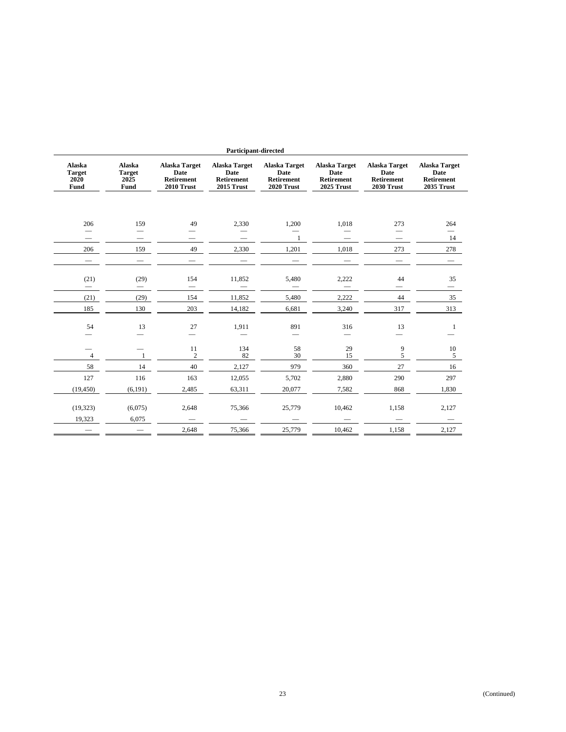|                                                | Participant-directed                    |                                                          |                                                          |                                                   |                                                                 |                                                   |                                                                 |  |
|------------------------------------------------|-----------------------------------------|----------------------------------------------------------|----------------------------------------------------------|---------------------------------------------------|-----------------------------------------------------------------|---------------------------------------------------|-----------------------------------------------------------------|--|
| <b>Alaska</b><br><b>Target</b><br>2020<br>Fund | Alaska<br><b>Target</b><br>2025<br>Fund | Alaska Target<br>Date<br><b>Retirement</b><br>2010 Trust | <b>Alaska Target</b><br>Date<br>Retirement<br>2015 Trust | Alaska Target<br>Date<br>Retirement<br>2020 Trust | Alaska Target<br>Date<br><b>Retirement</b><br><b>2025 Trust</b> | Alaska Target<br>Date<br>Retirement<br>2030 Trust | <b>Alaska Target</b><br>Date<br>Retirement<br><b>2035 Trust</b> |  |
|                                                |                                         |                                                          |                                                          |                                                   |                                                                 |                                                   |                                                                 |  |
| 206                                            | 159                                     | 49                                                       | 2,330                                                    | 1,200                                             | 1,018                                                           | 273                                               | 264                                                             |  |
| $\hspace{0.1mm}-\hspace{0.1mm}$                | $\overline{\phantom{0}}$                |                                                          |                                                          | 1                                                 |                                                                 | $\qquad \qquad \longleftarrow$                    | $\overline{\phantom{0}}$<br>14                                  |  |
| 206                                            | 159                                     | 49                                                       | 2,330                                                    | 1,201                                             | 1,018                                                           | 273                                               | 278                                                             |  |
| $\overbrace{\phantom{13333}}$                  | $\qquad \qquad \longleftarrow$          |                                                          |                                                          |                                                   |                                                                 |                                                   |                                                                 |  |
| (21)                                           | (29)                                    | 154                                                      | 11,852                                                   | 5,480                                             | 2,222                                                           | 44<br>$\overline{\phantom{0}}$                    | 35                                                              |  |
| (21)                                           | (29)                                    | 154                                                      | 11,852                                                   | 5,480                                             | 2,222                                                           | 44                                                | 35                                                              |  |
| 185                                            | 130                                     | 203                                                      | 14,182                                                   | 6,681                                             | 3,240                                                           | 317                                               | 313                                                             |  |
| 54                                             | 13                                      | 27                                                       | 1,911                                                    | 891                                               | 316                                                             | 13                                                | -1                                                              |  |
| $\overline{4}$                                 | $\mathbf{1}$                            | 11<br>$\overline{c}$                                     | 134<br>82                                                | 58<br>30                                          | 29<br>15                                                        | 9<br>5                                            | $10\,$<br>5                                                     |  |
| 58                                             | 14                                      | 40                                                       | 2,127                                                    | 979                                               | 360                                                             | 27                                                | 16                                                              |  |
| 127                                            | 116                                     | 163                                                      | 12,055                                                   | 5,702                                             | 2,880                                                           | 290                                               | 297                                                             |  |
| (19, 450)                                      | (6, 191)                                | 2,485                                                    | 63,311                                                   | 20.077                                            | 7,582                                                           | 868                                               | 1,830                                                           |  |
| (19, 323)                                      | (6,075)                                 | 2,648                                                    | 75,366                                                   | 25,779                                            | 10,462                                                          | 1,158                                             | 2,127                                                           |  |
| 19,323                                         | 6,075                                   | 2,648                                                    | 75,366                                                   | 25,779                                            | 10,462                                                          | 1,158                                             | 2,127                                                           |  |
|                                                |                                         |                                                          |                                                          |                                                   |                                                                 |                                                   |                                                                 |  |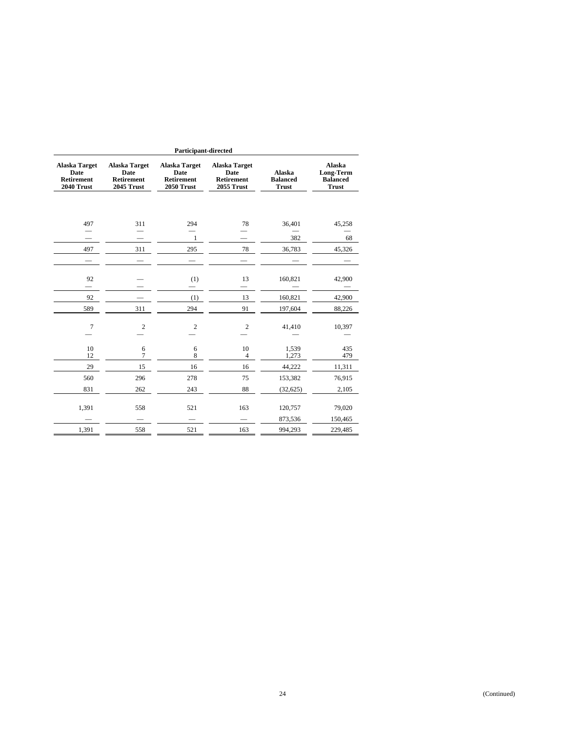| <b>Participant-directed</b>                                     |                                                                 |                                                                 |                                                                        |                                           |                                                        |  |
|-----------------------------------------------------------------|-----------------------------------------------------------------|-----------------------------------------------------------------|------------------------------------------------------------------------|-------------------------------------------|--------------------------------------------------------|--|
| <b>Alaska Target</b><br>Date<br><b>Retirement</b><br>2040 Trust | <b>Alaska Target</b><br>Date<br><b>Retirement</b><br>2045 Trust | <b>Alaska Target</b><br>Date<br><b>Retirement</b><br>2050 Trust | <b>Alaska Target</b><br>Date<br><b>Retirement</b><br><b>2055 Trust</b> | Alaska<br><b>Balanced</b><br><b>Trust</b> | Alaska<br>Long-Term<br><b>Balanced</b><br><b>Trust</b> |  |
|                                                                 |                                                                 |                                                                 |                                                                        |                                           |                                                        |  |
| 497                                                             | 311                                                             | 294                                                             | 78                                                                     | 36,401                                    | 45,258                                                 |  |
|                                                                 |                                                                 | $\mathbf{1}$                                                    |                                                                        | 382                                       | 68                                                     |  |
| 497                                                             | 311                                                             | 295                                                             | 78                                                                     | 36,783                                    | 45,326                                                 |  |
|                                                                 |                                                                 |                                                                 |                                                                        |                                           |                                                        |  |
| 92                                                              |                                                                 | (1)                                                             | 13                                                                     | 160,821                                   | 42,900                                                 |  |
| 92                                                              |                                                                 | (1)                                                             | 13                                                                     | 160,821                                   | 42,900                                                 |  |
| 589                                                             | 311                                                             | 294                                                             | 91                                                                     | 197,604                                   | 88,226                                                 |  |
| $\overline{7}$                                                  | $\overline{2}$                                                  | $\overline{c}$                                                  | $\overline{2}$                                                         | 41,410                                    | 10,397                                                 |  |
| 10<br>12                                                        | 6<br>$\overline{7}$                                             | 6<br>8                                                          | 10<br>$\overline{4}$                                                   | 1,539<br>1,273                            | 435<br>479                                             |  |
| 29                                                              | 15                                                              | 16                                                              | 16                                                                     | 44,222                                    | 11,311                                                 |  |
| 560                                                             | 296                                                             | 278                                                             | 75                                                                     | 153,382                                   | 76,915                                                 |  |
| 831                                                             | 262                                                             | 243                                                             | 88                                                                     | (32, 625)                                 | 2,105                                                  |  |
| 1,391                                                           | 558                                                             | 521                                                             | 163                                                                    | 120,757                                   | 79,020                                                 |  |
|                                                                 |                                                                 |                                                                 |                                                                        | 873,536                                   | 150,465                                                |  |
| 1,391                                                           | 558                                                             | 521                                                             | 163                                                                    | 994,293                                   | 229,485                                                |  |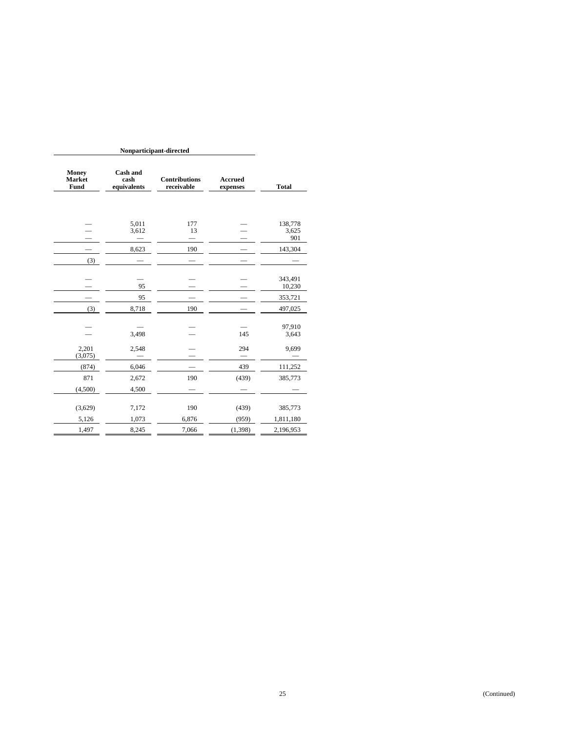| <b>Money</b><br><b>Market</b><br>Fund | <b>Cash and</b><br>cash<br>equivalents | <b>Contributions</b><br>receivable | <b>Accrued</b><br>expenses | <b>Total</b>            |
|---------------------------------------|----------------------------------------|------------------------------------|----------------------------|-------------------------|
|                                       | 5,011<br>3,612                         | 177<br>13                          |                            | 138,778<br>3,625<br>901 |
|                                       | 8,623                                  | 190                                |                            | 143,304                 |
| (3)                                   |                                        |                                    |                            |                         |
|                                       | 95                                     |                                    |                            | 343,491<br>10,230       |
|                                       | 95                                     |                                    |                            | 353,721                 |
| (3)                                   | 8,718                                  | 190                                |                            | 497,025                 |
|                                       | 3,498                                  |                                    | 145                        | 97,910<br>3,643         |
| 2,201                                 | 2,548                                  |                                    | 294                        | 9,699                   |
| (3,075)                               |                                        |                                    |                            |                         |
| (874)                                 | 6,046                                  |                                    | 439                        | 111,252                 |
| 871                                   | 2,672                                  | 190                                | (439)                      | 385,773                 |
| (4,500)                               | 4,500                                  |                                    |                            |                         |
| (3,629)                               | 7,172                                  | 190                                | (439)                      | 385,773                 |
| 5,126                                 | 1,073                                  | 6,876                              | (959)                      | 1,811,180               |
| 1,497                                 | 8,245                                  | 7,066                              | (1, 398)                   | 2,196,953               |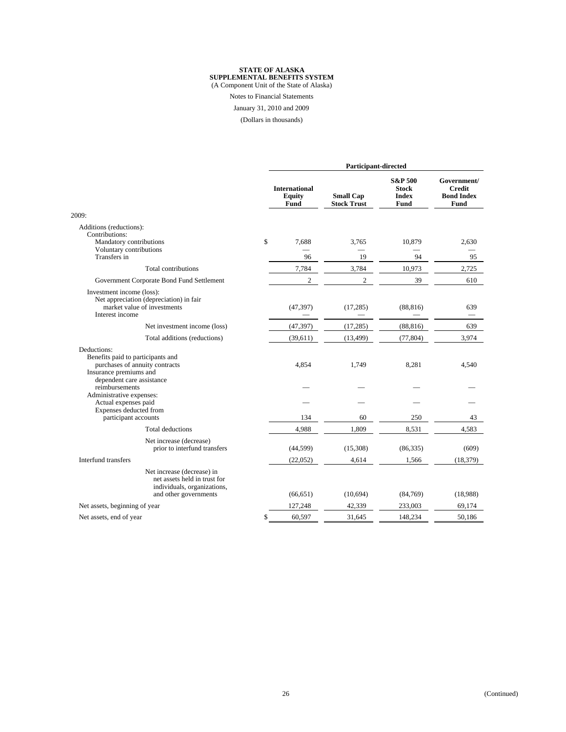Notes to Financial Statements

January 31, 2010 and 2009

(Dollars in thousands)

|                                                                                                                        | Participant-directed                          |                                        |                                                     |                                                           |  |
|------------------------------------------------------------------------------------------------------------------------|-----------------------------------------------|----------------------------------------|-----------------------------------------------------|-----------------------------------------------------------|--|
|                                                                                                                        | <b>International</b><br><b>Equity</b><br>Fund | <b>Small Cap</b><br><b>Stock Trust</b> | <b>S&amp;P 500</b><br>Stock<br><b>Index</b><br>Fund | Government/<br><b>Credit</b><br><b>Bond Index</b><br>Fund |  |
| 2009:                                                                                                                  |                                               |                                        |                                                     |                                                           |  |
| Additions (reductions):<br>Contributions:<br>Mandatory contributions<br>Voluntary contributions                        | \$<br>7,688<br>96                             | 3,765                                  | 10,879                                              | 2,630<br>95                                               |  |
| Transfers in<br>Total contributions                                                                                    |                                               | 19                                     | 94                                                  |                                                           |  |
|                                                                                                                        | 7,784<br>$\overline{c}$                       | 3,784<br>$\overline{c}$                | 10,973<br>39                                        | 2,725<br>610                                              |  |
| Government Corporate Bond Fund Settlement                                                                              |                                               |                                        |                                                     |                                                           |  |
| Investment income (loss):<br>Net appreciation (depreciation) in fair<br>market value of investments<br>Interest income | (47, 397)                                     | (17, 285)                              | (88, 816)                                           | 639                                                       |  |
| Net investment income (loss)                                                                                           | (47, 397)                                     | (17, 285)                              | (88, 816)                                           | 639                                                       |  |
| Total additions (reductions)                                                                                           | (39,611)                                      | (13, 499)                              | (77, 804)                                           | 3,974                                                     |  |
| Deductions:<br>Benefits paid to participants and<br>purchases of annuity contracts<br>Insurance premiums and           | 4,854                                         | 1,749                                  | 8,281                                               | 4,540                                                     |  |
| dependent care assistance<br>reimbursements<br>Administrative expenses:                                                |                                               |                                        |                                                     |                                                           |  |
| Actual expenses paid                                                                                                   |                                               |                                        |                                                     |                                                           |  |
| Expenses deducted from<br>participant accounts                                                                         | 134                                           | 60                                     | 250                                                 | 43                                                        |  |
| <b>Total deductions</b>                                                                                                | 4,988                                         | 1,809                                  | 8,531                                               | 4,583                                                     |  |
| Net increase (decrease)<br>prior to interfund transfers                                                                | (44, 599)                                     | (15,308)                               | (86, 335)                                           | (609)                                                     |  |
| Interfund transfers                                                                                                    | (22,052)                                      | 4.614                                  | 1,566                                               | (18, 379)                                                 |  |
| Net increase (decrease) in<br>net assets held in trust for<br>individuals, organizations,<br>and other governments     | (66, 651)                                     | (10,694)                               | (84,769)                                            | (18,988)                                                  |  |
| Net assets, beginning of year                                                                                          | 127,248                                       | 42,339                                 | 233,003                                             | 69,174                                                    |  |
| Net assets, end of year                                                                                                | \$<br>60,597                                  | 31,645                                 | 148,234                                             | 50,186                                                    |  |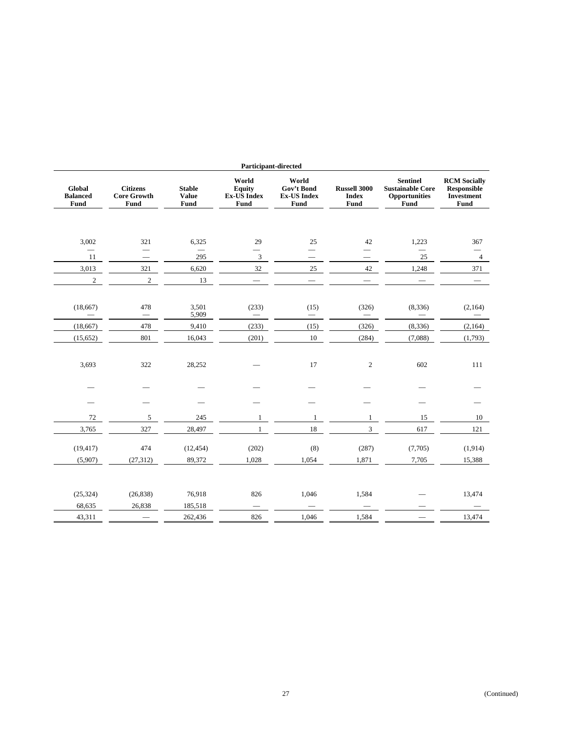| Participant-directed                 |                                               |                                       |                                         |                                                          |                                                    |                                                                                   |                                                                        |
|--------------------------------------|-----------------------------------------------|---------------------------------------|-----------------------------------------|----------------------------------------------------------|----------------------------------------------------|-----------------------------------------------------------------------------------|------------------------------------------------------------------------|
| Global<br><b>Balanced</b><br>Fund    | <b>Citizens</b><br><b>Core Growth</b><br>Fund | <b>Stable</b><br><b>Value</b><br>Fund | World<br>Equity<br>Ex-US Index<br>Fund  | World<br>Gov't Bond<br><b>Ex-US Index</b><br><b>Fund</b> | <b>Russell 3000</b><br><b>Index</b><br><b>Fund</b> | <b>Sentinel</b><br><b>Sustainable Core</b><br><b>Opportunities</b><br><b>Fund</b> | <b>RCM</b> Socially<br><b>Responsible</b><br><b>Investment</b><br>Fund |
|                                      |                                               |                                       |                                         |                                                          |                                                    |                                                                                   |                                                                        |
| 3,002                                | 321                                           | 6,325                                 | 29                                      | 25                                                       | 42                                                 | 1,223                                                                             | 367                                                                    |
| 11                                   | $\equiv$<br>$\qquad \qquad =$                 | 295                                   | 3                                       | $\overline{\phantom{0}}$                                 | $\equiv$                                           | $\overline{\phantom{0}}$<br>25                                                    | $\overline{4}$                                                         |
| 3,013                                | 321                                           | 6,620                                 | 32                                      | 25                                                       | $42\,$                                             | 1,248                                                                             | 371                                                                    |
| $\overline{2}$                       | $\overline{c}$                                | 13                                    |                                         | $\equiv$                                                 | $\overline{\phantom{m}}$                           | $\equiv$                                                                          |                                                                        |
|                                      |                                               |                                       |                                         |                                                          |                                                    |                                                                                   |                                                                        |
| (18,667)<br>$\overline{\phantom{0}}$ | 478<br>$\overline{\phantom{m}}$               | 3,501<br>5,909                        | (233)<br>$\qquad \qquad \longleftarrow$ | (15)<br>$\qquad \qquad -$                                | (326)<br>$\overline{\phantom{m}}$                  | (8, 336)                                                                          | (2,164)<br>$\qquad \qquad$                                             |
| (18, 667)                            | 478                                           | 9,410                                 | (233)                                   | (15)                                                     | (326)                                              | (8, 336)                                                                          | (2,164)                                                                |
| (15,652)                             | 801                                           | 16,043                                | (201)                                   | 10                                                       | (284)                                              | (7,088)                                                                           | (1,793)                                                                |
|                                      |                                               |                                       |                                         |                                                          |                                                    |                                                                                   |                                                                        |
| 3,693                                | 322                                           | 28,252                                |                                         | 17                                                       | $\boldsymbol{2}$                                   | 602                                                                               | 111                                                                    |
|                                      |                                               |                                       |                                         |                                                          |                                                    |                                                                                   |                                                                        |
|                                      |                                               |                                       |                                         |                                                          |                                                    |                                                                                   |                                                                        |
|                                      |                                               |                                       |                                         |                                                          |                                                    |                                                                                   |                                                                        |
| 72                                   | 5                                             | 245                                   | $\mathbf{1}$                            | $\mathbf{1}$                                             | $\mathbf{1}$                                       | 15                                                                                | 10                                                                     |
| 3,765                                | 327                                           | 28,497                                | $\mathbf{1}$                            | $18\,$                                                   | 3                                                  | 617                                                                               | 121                                                                    |
|                                      |                                               |                                       |                                         |                                                          |                                                    |                                                                                   |                                                                        |
| (19, 417)                            | 474                                           | (12, 454)                             | (202)                                   | (8)                                                      | (287)                                              | (7,705)                                                                           | (1, 914)                                                               |
| (5,907)                              | (27, 312)                                     | 89,372                                | 1,028                                   | 1,054                                                    | 1,871                                              | 7,705                                                                             | 15,388                                                                 |
|                                      |                                               |                                       |                                         |                                                          |                                                    |                                                                                   |                                                                        |
| (25, 324)                            | (26, 838)                                     | 76,918                                | 826                                     | 1,046                                                    | 1,584                                              |                                                                                   | 13,474                                                                 |
| 68,635                               | 26,838                                        | 185,518                               |                                         |                                                          |                                                    |                                                                                   |                                                                        |
| 43,311                               |                                               | 262,436                               | 826                                     | 1,046                                                    | 1,584                                              |                                                                                   | 13,474                                                                 |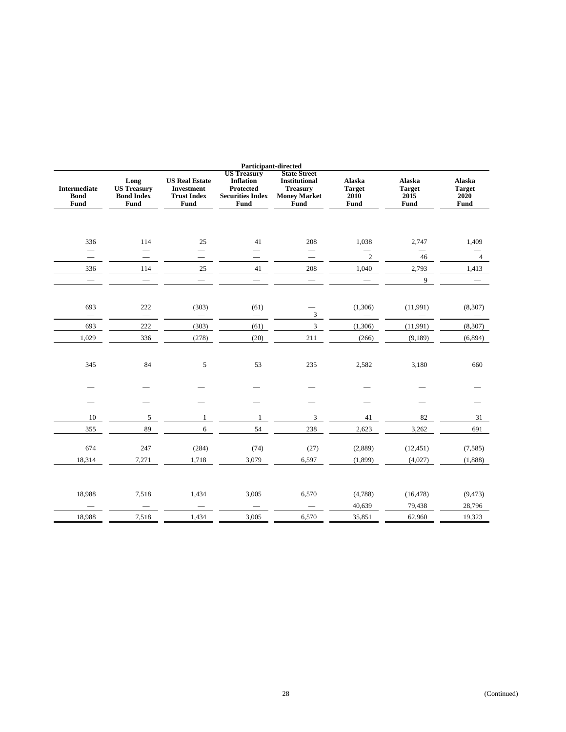| Participant-directed                       |                                                                |                                                                          |                                                                                               |                                                                                               |                                         |                                         |                                                |
|--------------------------------------------|----------------------------------------------------------------|--------------------------------------------------------------------------|-----------------------------------------------------------------------------------------------|-----------------------------------------------------------------------------------------------|-----------------------------------------|-----------------------------------------|------------------------------------------------|
| <b>Intermediate</b><br><b>Bond</b><br>Fund | Long<br><b>US Treasury</b><br><b>Bond Index</b><br><b>Fund</b> | <b>US Real Estate</b><br><b>Investment</b><br><b>Trust Index</b><br>Fund | <b>US Treasury</b><br><b>Inflation</b><br>Protected<br><b>Securities Index</b><br><b>Fund</b> | <b>State Street</b><br><b>Institutional</b><br><b>Treasury</b><br><b>Money Market</b><br>Fund | Alaska<br><b>Target</b><br>2010<br>Fund | Alaska<br><b>Target</b><br>2015<br>Fund | Alaska<br><b>Target</b><br>2020<br><b>Fund</b> |
|                                            |                                                                |                                                                          |                                                                                               |                                                                                               |                                         |                                         |                                                |
| 336                                        | 114                                                            | 25                                                                       | 41                                                                                            | 208                                                                                           | 1,038                                   | 2,747                                   | 1,409                                          |
| $\equiv$                                   |                                                                |                                                                          |                                                                                               | $=$                                                                                           | $\overline{2}$                          | 46                                      | $\overline{4}$                                 |
| 336                                        | 114                                                            | $25\,$                                                                   | 41                                                                                            | 208                                                                                           | 1,040                                   | 2,793                                   | 1,413                                          |
|                                            |                                                                |                                                                          |                                                                                               |                                                                                               |                                         | 9                                       |                                                |
|                                            |                                                                |                                                                          |                                                                                               |                                                                                               |                                         |                                         |                                                |
| 693                                        | 222                                                            | (303)<br>$\overline{\phantom{0}}$                                        | (61)<br>$\overline{\phantom{0}}$                                                              | 3                                                                                             | (1,306)                                 | (11,991)                                | (8,307)                                        |
| 693                                        | 222                                                            | (303)                                                                    | (61)                                                                                          | $\overline{3}$                                                                                | (1,306)                                 | (11,991)                                | (8,307)                                        |
| 1,029                                      | 336                                                            | (278)                                                                    | (20)                                                                                          | 211                                                                                           | (266)                                   | (9,189)                                 | (6, 894)                                       |
|                                            |                                                                |                                                                          |                                                                                               |                                                                                               |                                         |                                         |                                                |
| 345                                        | 84                                                             | 5                                                                        | 53                                                                                            | 235                                                                                           | 2,582                                   | 3,180                                   | 660                                            |
|                                            |                                                                |                                                                          |                                                                                               |                                                                                               |                                         |                                         |                                                |
|                                            |                                                                |                                                                          |                                                                                               |                                                                                               |                                         |                                         |                                                |
|                                            |                                                                |                                                                          |                                                                                               |                                                                                               |                                         |                                         |                                                |
| 10                                         | 5                                                              | 1                                                                        | 1                                                                                             | $\mathfrak{Z}$                                                                                | 41                                      | 82                                      | 31                                             |
| 355                                        | 89                                                             | 6                                                                        | 54                                                                                            | 238                                                                                           | 2,623                                   | 3,262                                   | 691                                            |
| 674                                        | 247                                                            | (284)                                                                    | (74)                                                                                          | (27)                                                                                          | (2,889)                                 | (12, 451)                               | (7, 585)                                       |
| 18,314                                     | 7,271                                                          | 1,718                                                                    | 3,079                                                                                         | 6,597                                                                                         | (1, 899)                                | (4,027)                                 | (1,888)                                        |
|                                            |                                                                |                                                                          |                                                                                               |                                                                                               |                                         |                                         |                                                |
|                                            |                                                                |                                                                          |                                                                                               |                                                                                               |                                         |                                         |                                                |
| 18,988                                     | 7,518                                                          | 1,434                                                                    | 3,005                                                                                         | 6,570                                                                                         | (4,788)                                 | (16, 478)                               | (9, 473)                                       |
|                                            |                                                                |                                                                          |                                                                                               |                                                                                               | 40,639                                  | 79,438                                  | 28,796                                         |
| 18,988                                     | 7,518                                                          | 1,434                                                                    | 3,005                                                                                         | 6,570                                                                                         | 35,851                                  | 62,960                                  | 19,323                                         |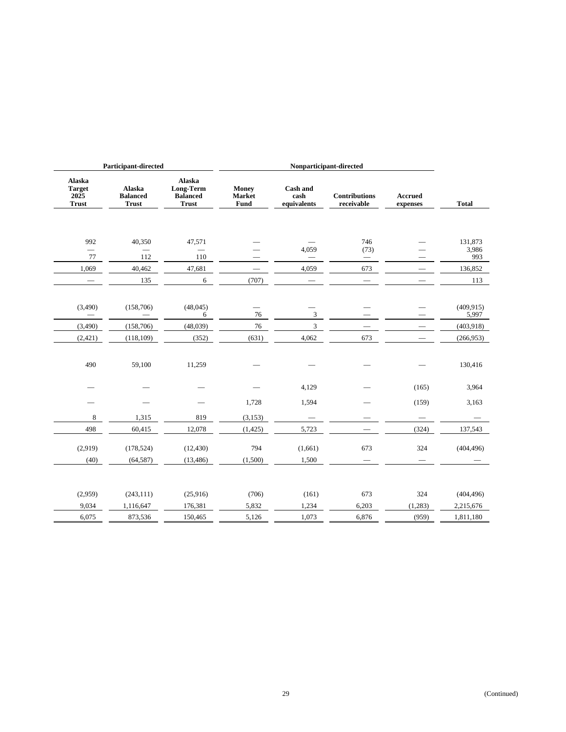|                                                 | <b>Participant-directed</b>               |                                                               | Nonparticipant-directed                      |                                        |                                    |                            |              |
|-------------------------------------------------|-------------------------------------------|---------------------------------------------------------------|----------------------------------------------|----------------------------------------|------------------------------------|----------------------------|--------------|
| Alaska<br><b>Target</b><br>2025<br><b>Trust</b> | Alaska<br><b>Balanced</b><br><b>Trust</b> | <b>Alaska</b><br>Long-Term<br><b>Balanced</b><br><b>Trust</b> | <b>Money</b><br><b>Market</b><br><b>Fund</b> | <b>Cash and</b><br>cash<br>equivalents | <b>Contributions</b><br>receivable | <b>Accrued</b><br>expenses | <b>Total</b> |
|                                                 |                                           |                                                               |                                              |                                        |                                    |                            |              |
| 992                                             | 40,350                                    | 47,571                                                        |                                              |                                        | 746                                |                            | 131,873      |
| $\overline{\phantom{0}}$<br>77                  | 112                                       | 110                                                           |                                              | 4,059                                  | (73)<br>$=$                        |                            | 3,986<br>993 |
| 1,069                                           | 40,462                                    | 47,681                                                        |                                              | 4,059                                  | 673                                | $\qquad \qquad$            | 136,852      |
|                                                 | 135                                       | 6                                                             | (707)                                        |                                        | $\overline{\phantom{a}}$           |                            | 113          |
|                                                 |                                           |                                                               |                                              |                                        |                                    |                            |              |
| (3,490)                                         | (158, 706)                                | (48,045)                                                      |                                              |                                        |                                    |                            | (409, 915)   |
| $\overline{\phantom{0}}$                        |                                           | 6                                                             | 76                                           | 3                                      | $\overline{\phantom{0}}$           | $\overline{\phantom{0}}$   | 5,997        |
| (3,490)                                         | (158, 706)                                | (48,039)                                                      | 76                                           | $\overline{3}$                         |                                    |                            | (403,918)    |
| (2, 421)                                        | (118, 109)                                | (352)                                                         | (631)                                        | 4,062                                  | 673                                | $\overline{\phantom{0}}$   | (266,953)    |
|                                                 |                                           |                                                               |                                              |                                        |                                    |                            |              |
| 490                                             | 59,100                                    | 11,259                                                        |                                              |                                        |                                    |                            | 130,416      |
|                                                 |                                           |                                                               |                                              | 4,129                                  |                                    | (165)                      | 3,964        |
|                                                 |                                           |                                                               | 1,728                                        | 1,594                                  |                                    | (159)                      | 3,163        |
| $\,8\,$                                         | 1,315                                     | 819                                                           | (3, 153)                                     |                                        |                                    |                            |              |
| 498                                             | 60,415                                    | 12,078                                                        | (1, 425)                                     | 5,723                                  |                                    | (324)                      | 137,543      |
| (2,919)                                         | (178, 524)                                | (12, 430)                                                     | 794                                          | (1,661)                                | 673                                | 324                        | (404, 496)   |
|                                                 |                                           |                                                               |                                              |                                        |                                    |                            |              |
| (40)                                            | (64, 587)                                 | (13, 486)                                                     | (1,500)                                      | 1,500                                  |                                    |                            |              |
|                                                 |                                           |                                                               |                                              |                                        |                                    |                            |              |
| (2,959)                                         | (243, 111)                                | (25,916)                                                      | (706)                                        | (161)                                  | 673                                | 324                        | (404, 496)   |
| 9,034                                           | 1,116,647                                 | 176,381                                                       | 5,832                                        | 1,234                                  | 6,203                              | (1,283)                    | 2,215,676    |
| 6,075                                           | 873,536                                   | 150,465                                                       | 5,126                                        | 1,073                                  | 6,876                              | (959)                      | 1,811,180    |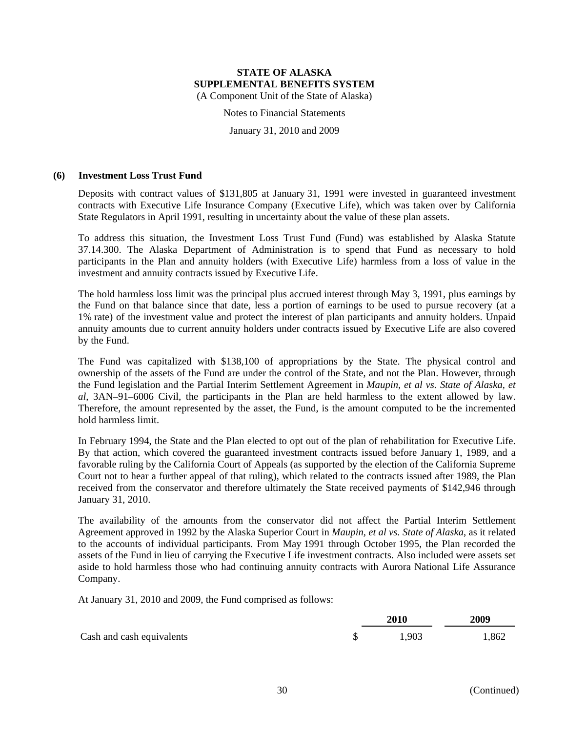Notes to Financial Statements

January 31, 2010 and 2009

#### **(6) Investment Loss Trust Fund**

Deposits with contract values of \$131,805 at January 31, 1991 were invested in guaranteed investment contracts with Executive Life Insurance Company (Executive Life), which was taken over by California State Regulators in April 1991, resulting in uncertainty about the value of these plan assets.

To address this situation, the Investment Loss Trust Fund (Fund) was established by Alaska Statute 37.14.300. The Alaska Department of Administration is to spend that Fund as necessary to hold participants in the Plan and annuity holders (with Executive Life) harmless from a loss of value in the investment and annuity contracts issued by Executive Life.

The hold harmless loss limit was the principal plus accrued interest through May 3, 1991, plus earnings by the Fund on that balance since that date, less a portion of earnings to be used to pursue recovery (at a 1% rate) of the investment value and protect the interest of plan participants and annuity holders. Unpaid annuity amounts due to current annuity holders under contracts issued by Executive Life are also covered by the Fund.

The Fund was capitalized with \$138,100 of appropriations by the State. The physical control and ownership of the assets of the Fund are under the control of the State, and not the Plan. However, through the Fund legislation and the Partial Interim Settlement Agreement in *Maupin, et al vs. State of Alaska, et al*, 3AN–91–6006 Civil, the participants in the Plan are held harmless to the extent allowed by law. Therefore, the amount represented by the asset, the Fund, is the amount computed to be the incremented hold harmless limit.

In February 1994, the State and the Plan elected to opt out of the plan of rehabilitation for Executive Life. By that action, which covered the guaranteed investment contracts issued before January 1, 1989, and a favorable ruling by the California Court of Appeals (as supported by the election of the California Supreme Court not to hear a further appeal of that ruling), which related to the contracts issued after 1989, the Plan received from the conservator and therefore ultimately the State received payments of \$142,946 through January 31, 2010.

The availability of the amounts from the conservator did not affect the Partial Interim Settlement Agreement approved in 1992 by the Alaska Superior Court in *Maupin, et al vs. State of Alaska*, as it related to the accounts of individual participants. From May 1991 through October 1995, the Plan recorded the assets of the Fund in lieu of carrying the Executive Life investment contracts. Also included were assets set aside to hold harmless those who had continuing annuity contracts with Aurora National Life Assurance Company.

At January 31, 2010 and 2009, the Fund comprised as follows:

|                           | <b>2010</b> | 2009  |  |
|---------------------------|-------------|-------|--|
| Cash and cash equivalents | 1,903       | 1,862 |  |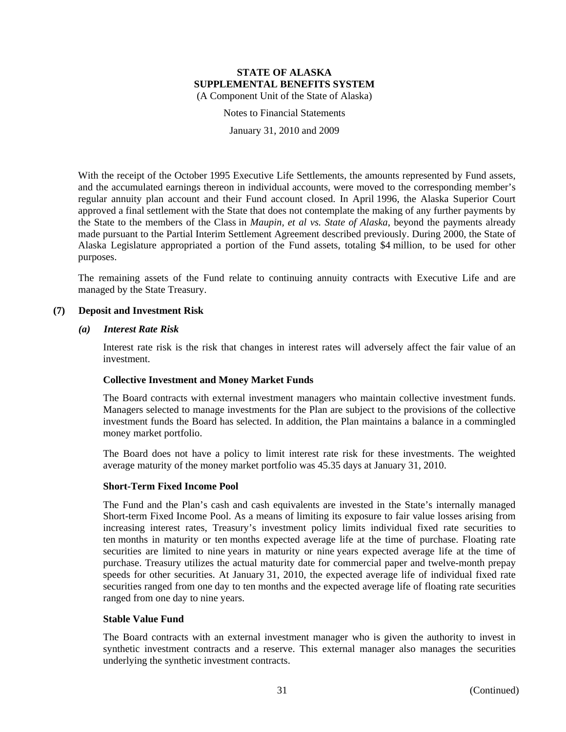Notes to Financial Statements

January 31, 2010 and 2009

With the receipt of the October 1995 Executive Life Settlements, the amounts represented by Fund assets, and the accumulated earnings thereon in individual accounts, were moved to the corresponding member's regular annuity plan account and their Fund account closed. In April 1996, the Alaska Superior Court approved a final settlement with the State that does not contemplate the making of any further payments by the State to the members of the Class in *Maupin, et al vs. State of Alaska*, beyond the payments already made pursuant to the Partial Interim Settlement Agreement described previously. During 2000, the State of Alaska Legislature appropriated a portion of the Fund assets, totaling \$4 million, to be used for other purposes.

The remaining assets of the Fund relate to continuing annuity contracts with Executive Life and are managed by the State Treasury.

#### **(7) Deposit and Investment Risk**

#### *(a) Interest Rate Risk*

Interest rate risk is the risk that changes in interest rates will adversely affect the fair value of an investment.

#### **Collective Investment and Money Market Funds**

The Board contracts with external investment managers who maintain collective investment funds. Managers selected to manage investments for the Plan are subject to the provisions of the collective investment funds the Board has selected. In addition, the Plan maintains a balance in a commingled money market portfolio.

The Board does not have a policy to limit interest rate risk for these investments. The weighted average maturity of the money market portfolio was 45.35 days at January 31, 2010.

#### **Short-Term Fixed Income Pool**

The Fund and the Plan's cash and cash equivalents are invested in the State's internally managed Short-term Fixed Income Pool. As a means of limiting its exposure to fair value losses arising from increasing interest rates, Treasury's investment policy limits individual fixed rate securities to ten months in maturity or ten months expected average life at the time of purchase. Floating rate securities are limited to nine years in maturity or nine years expected average life at the time of purchase. Treasury utilizes the actual maturity date for commercial paper and twelve-month prepay speeds for other securities. At January 31, 2010, the expected average life of individual fixed rate securities ranged from one day to ten months and the expected average life of floating rate securities ranged from one day to nine years.

#### **Stable Value Fund**

The Board contracts with an external investment manager who is given the authority to invest in synthetic investment contracts and a reserve. This external manager also manages the securities underlying the synthetic investment contracts.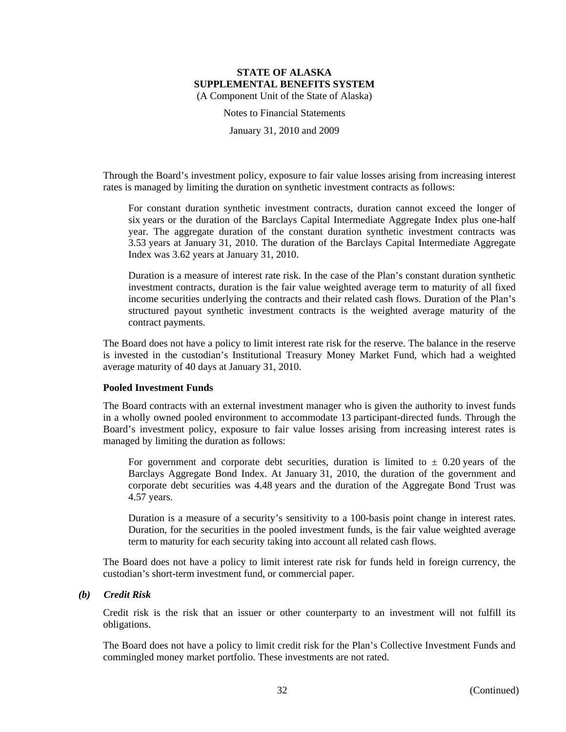Notes to Financial Statements

January 31, 2010 and 2009

Through the Board's investment policy, exposure to fair value losses arising from increasing interest rates is managed by limiting the duration on synthetic investment contracts as follows:

For constant duration synthetic investment contracts, duration cannot exceed the longer of six years or the duration of the Barclays Capital Intermediate Aggregate Index plus one-half year. The aggregate duration of the constant duration synthetic investment contracts was 3.53 years at January 31, 2010. The duration of the Barclays Capital Intermediate Aggregate Index was 3.62 years at January 31, 2010.

Duration is a measure of interest rate risk. In the case of the Plan's constant duration synthetic investment contracts, duration is the fair value weighted average term to maturity of all fixed income securities underlying the contracts and their related cash flows. Duration of the Plan's structured payout synthetic investment contracts is the weighted average maturity of the contract payments.

The Board does not have a policy to limit interest rate risk for the reserve. The balance in the reserve is invested in the custodian's Institutional Treasury Money Market Fund, which had a weighted average maturity of 40 days at January 31, 2010.

#### **Pooled Investment Funds**

The Board contracts with an external investment manager who is given the authority to invest funds in a wholly owned pooled environment to accommodate 13 participant-directed funds. Through the Board's investment policy, exposure to fair value losses arising from increasing interest rates is managed by limiting the duration as follows:

For government and corporate debt securities, duration is limited to  $\pm$  0.20 years of the Barclays Aggregate Bond Index. At January 31, 2010, the duration of the government and corporate debt securities was 4.48 years and the duration of the Aggregate Bond Trust was 4.57 years.

Duration is a measure of a security's sensitivity to a 100-basis point change in interest rates. Duration, for the securities in the pooled investment funds, is the fair value weighted average term to maturity for each security taking into account all related cash flows.

The Board does not have a policy to limit interest rate risk for funds held in foreign currency, the custodian's short-term investment fund, or commercial paper.

# *(b) Credit Risk*

Credit risk is the risk that an issuer or other counterparty to an investment will not fulfill its obligations.

The Board does not have a policy to limit credit risk for the Plan's Collective Investment Funds and commingled money market portfolio. These investments are not rated.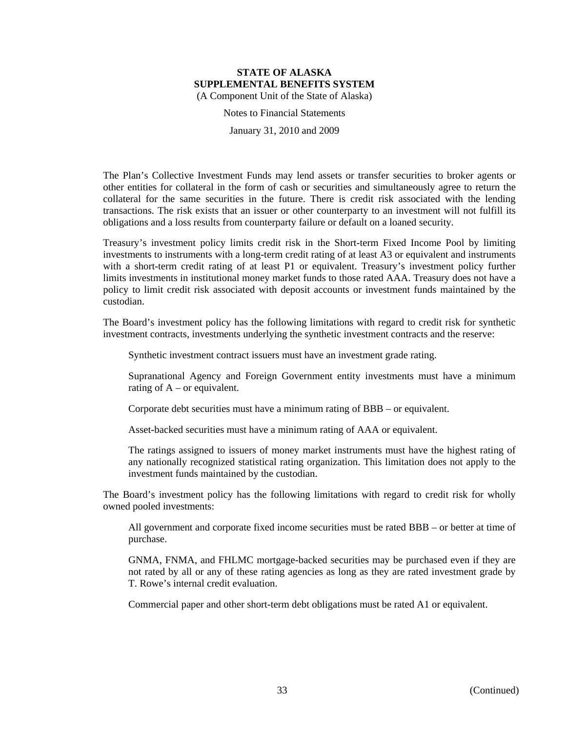Notes to Financial Statements

January 31, 2010 and 2009

The Plan's Collective Investment Funds may lend assets or transfer securities to broker agents or other entities for collateral in the form of cash or securities and simultaneously agree to return the collateral for the same securities in the future. There is credit risk associated with the lending transactions. The risk exists that an issuer or other counterparty to an investment will not fulfill its obligations and a loss results from counterparty failure or default on a loaned security.

Treasury's investment policy limits credit risk in the Short-term Fixed Income Pool by limiting investments to instruments with a long-term credit rating of at least A3 or equivalent and instruments with a short-term credit rating of at least P1 or equivalent. Treasury's investment policy further limits investments in institutional money market funds to those rated AAA. Treasury does not have a policy to limit credit risk associated with deposit accounts or investment funds maintained by the custodian.

The Board's investment policy has the following limitations with regard to credit risk for synthetic investment contracts, investments underlying the synthetic investment contracts and the reserve:

Synthetic investment contract issuers must have an investment grade rating.

Supranational Agency and Foreign Government entity investments must have a minimum rating of  $A$  – or equivalent.

Corporate debt securities must have a minimum rating of BBB – or equivalent.

Asset-backed securities must have a minimum rating of AAA or equivalent.

The ratings assigned to issuers of money market instruments must have the highest rating of any nationally recognized statistical rating organization. This limitation does not apply to the investment funds maintained by the custodian.

The Board's investment policy has the following limitations with regard to credit risk for wholly owned pooled investments:

All government and corporate fixed income securities must be rated BBB – or better at time of purchase.

GNMA, FNMA, and FHLMC mortgage-backed securities may be purchased even if they are not rated by all or any of these rating agencies as long as they are rated investment grade by T. Rowe's internal credit evaluation.

Commercial paper and other short-term debt obligations must be rated A1 or equivalent.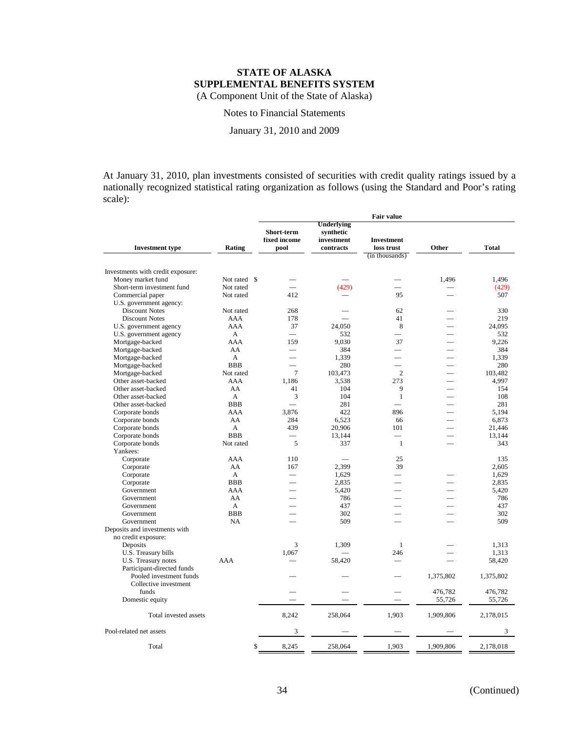Notes to Financial Statements

January 31, 2010 and 2009

At January 31, 2010, plan investments consisted of securities with credit quality ratings issued by a nationally recognized statistical rating organization as follows (using the Standard and Poor's rating scale):

|                                                  |                |                                    |                                                    | <b>Fair value</b>                                 |                          |           |
|--------------------------------------------------|----------------|------------------------------------|----------------------------------------------------|---------------------------------------------------|--------------------------|-----------|
| <b>Investment type</b>                           | Rating         | Short-term<br>fixed income<br>pool | Underlying<br>synthetic<br>investment<br>contracts | <b>Investment</b><br>loss trust<br>(in thousands) | Other                    | Total     |
| Investments with credit exposure:                |                |                                    |                                                    |                                                   |                          |           |
| Money market fund                                | Not rated \$   |                                    |                                                    |                                                   | 1,496                    | 1,496     |
| Short-term investment fund                       | Not rated      |                                    | (429)                                              |                                                   |                          | (429)     |
| Commercial paper                                 | Not rated      | 412                                |                                                    | 95                                                |                          | 507       |
| U.S. government agency:                          |                |                                    |                                                    |                                                   |                          |           |
| <b>Discount Notes</b>                            | Not rated      | 268                                |                                                    | 62                                                |                          | 330       |
| <b>Discount Notes</b>                            | AAA            | 178                                |                                                    | 41                                                |                          | 219       |
| U.S. government agency                           | <b>AAA</b>     | 37                                 | 24.050                                             | 8                                                 | $\overline{\phantom{0}}$ | 24.095    |
| U.S. government agency                           | $\mathsf{A}$   | $\equiv$                           | 532                                                |                                                   |                          | 532       |
| Mortgage-backed                                  | AAA            | 159                                | 9,030                                              | 37                                                | $\overline{\phantom{a}}$ | 9,226     |
| Mortgage-backed                                  | AA             | $\overline{\phantom{0}}$           | 384                                                | ÷.                                                |                          | 384       |
| Mortgage-backed                                  | $\mathbf{A}$   |                                    | 1,339                                              |                                                   |                          | 1,339     |
| Mortgage-backed                                  | <b>BBB</b>     | $\overline{\phantom{0}}$           | 280                                                | $\overline{\phantom{0}}$                          | $\overline{\phantom{0}}$ | 280       |
| Mortgage-backed                                  | Not rated      | 7                                  | 103,473                                            | $\overline{2}$                                    | $\overline{\phantom{0}}$ | 103,482   |
| Other asset-backed                               | <b>AAA</b>     | 1,186                              | 3,538                                              | 273                                               |                          | 4,997     |
| Other asset-backed                               | AA             | 41                                 | 104                                                | 9                                                 | $\overline{\phantom{a}}$ | 154       |
| Other asset-backed                               | $\mathsf{A}$   | 3                                  | 104                                                | $\mathbf{1}$                                      | $\overline{\phantom{0}}$ | 108       |
| Other asset-backed                               | <b>BBB</b>     |                                    | 281                                                |                                                   |                          | 281       |
| Corporate bonds                                  | AAA            | 3,876                              | 422                                                | 896                                               |                          | 5,194     |
| Corporate bonds                                  | AA             | 284                                | 6,523                                              | 66                                                | $\overline{\phantom{0}}$ | 6,873     |
| Corporate bonds                                  | $\overline{A}$ | 439                                | 20,906                                             | 101                                               |                          | 21.446    |
| Corporate bonds                                  | <b>BBB</b>     |                                    | 13,144                                             |                                                   |                          | 13,144    |
| Corporate bonds<br>Yankees:                      | Not rated      | 5                                  | 337                                                | -1                                                | $\overline{\phantom{a}}$ | 343       |
| Corporate                                        | AAA            | 110                                |                                                    | 25                                                |                          | 135       |
| Corporate                                        | AA             | 167                                | 2,399                                              | 39                                                |                          | 2,605     |
| Corporate                                        | A              |                                    | 1,629                                              |                                                   |                          | 1,629     |
| Corporate                                        | <b>BBB</b>     | $\overline{\phantom{a}}$           | 2,835                                              | $\overline{\phantom{0}}$                          |                          | 2,835     |
| Government                                       | AAA            | ÷.                                 | 5,420                                              | $\overline{\phantom{0}}$                          |                          | 5,420     |
| Government                                       | AA             |                                    | 786                                                |                                                   |                          | 786       |
| Government                                       | A              |                                    | 437                                                |                                                   |                          | 437       |
| Government                                       | <b>BBB</b>     | ÷.                                 | 302                                                | $\overline{\phantom{0}}$                          | and a                    | 302       |
| Government                                       | <b>NA</b>      |                                    | 509                                                |                                                   |                          | 509       |
| Deposits and investments with                    |                |                                    |                                                    |                                                   |                          |           |
| no credit exposure:                              |                |                                    |                                                    |                                                   |                          |           |
| Deposits                                         |                | 3                                  | 1,309                                              | $\mathbf{1}$                                      |                          | 1,313     |
| U.S. Treasury bills                              |                | 1,067                              |                                                    | 246                                               |                          | 1,313     |
| U.S. Treasury notes                              | AAA            |                                    | 58,420                                             | $\overline{\phantom{a}}$                          |                          | 58,420    |
| Participant-directed funds                       |                |                                    |                                                    |                                                   |                          |           |
| Pooled investment funds<br>Collective investment |                |                                    |                                                    |                                                   | 1,375,802                | 1,375,802 |
| funds                                            |                |                                    |                                                    |                                                   | 476,782                  | 476,782   |
| Domestic equity                                  |                |                                    |                                                    |                                                   | 55,726                   | 55,726    |
|                                                  |                |                                    |                                                    |                                                   |                          |           |
| Total invested assets                            |                | 8,242                              | 258,064                                            | 1,903                                             | 1,909,806                | 2,178,015 |
| Pool-related net assets                          |                | 3                                  |                                                    |                                                   |                          | 3         |
| Total                                            | \$             | 8,245                              | 258,064                                            | 1,903                                             | 1,909,806                | 2,178,018 |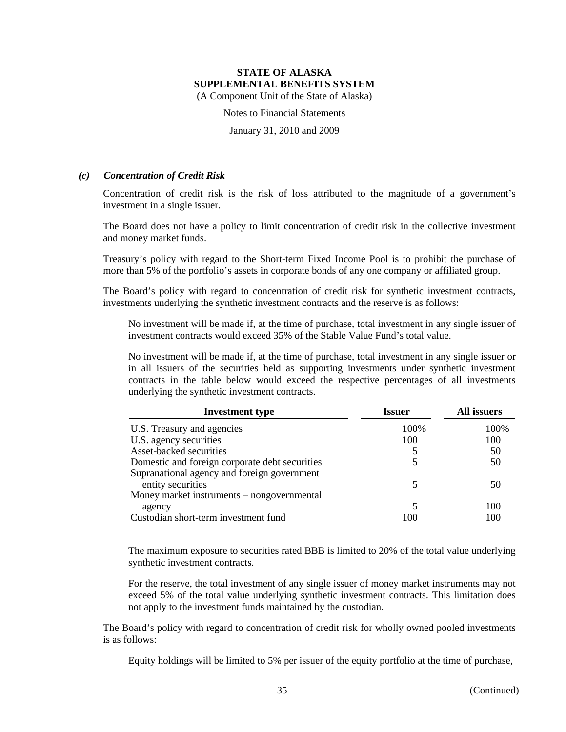Notes to Financial Statements

January 31, 2010 and 2009

#### *(c) Concentration of Credit Risk*

Concentration of credit risk is the risk of loss attributed to the magnitude of a government's investment in a single issuer.

The Board does not have a policy to limit concentration of credit risk in the collective investment and money market funds.

Treasury's policy with regard to the Short-term Fixed Income Pool is to prohibit the purchase of more than 5% of the portfolio's assets in corporate bonds of any one company or affiliated group.

The Board's policy with regard to concentration of credit risk for synthetic investment contracts, investments underlying the synthetic investment contracts and the reserve is as follows:

No investment will be made if, at the time of purchase, total investment in any single issuer of investment contracts would exceed 35% of the Stable Value Fund's total value.

No investment will be made if, at the time of purchase, total investment in any single issuer or in all issuers of the securities held as supporting investments under synthetic investment contracts in the table below would exceed the respective percentages of all investments underlying the synthetic investment contracts.

| <b>Investment type</b>                         | <b>Issuer</b> | All issuers |
|------------------------------------------------|---------------|-------------|
| U.S. Treasury and agencies                     | 100%          | 100%        |
| U.S. agency securities                         | 100           | 100         |
| Asset-backed securities                        |               | 50          |
| Domestic and foreign corporate debt securities |               | 50          |
| Supranational agency and foreign government    |               |             |
| entity securities                              |               | 50          |
| Money market instruments – nongovernmental     |               |             |
| agency                                         |               | 100         |
| Custodian short-term investment fund           | 100           | 100         |

The maximum exposure to securities rated BBB is limited to 20% of the total value underlying synthetic investment contracts.

For the reserve, the total investment of any single issuer of money market instruments may not exceed 5% of the total value underlying synthetic investment contracts. This limitation does not apply to the investment funds maintained by the custodian.

The Board's policy with regard to concentration of credit risk for wholly owned pooled investments is as follows:

Equity holdings will be limited to 5% per issuer of the equity portfolio at the time of purchase,